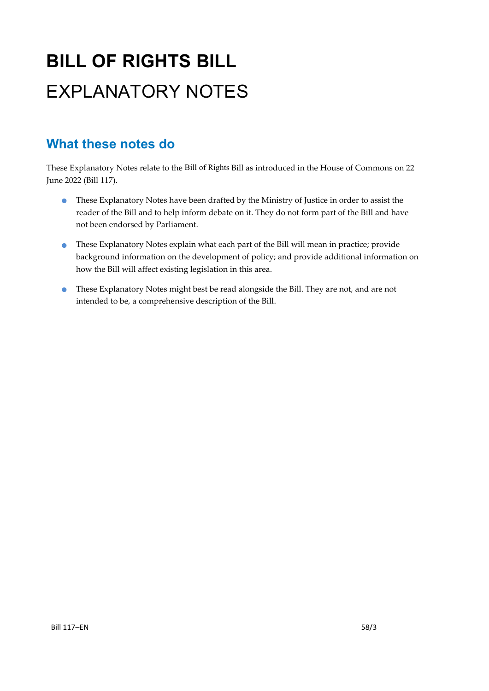# **BILL OF RIGHTS BILL** EXPLANATORY NOTES

## **What these notes do**

- These Explanatory Notes have been drafted by the Ministry of Justice in order to assist the reader of the Bill and to help inform debate on it. They do not form part of the Bill and have not been endorsed by Parliament.
- These Explanatory Notes explain what each part of the Bill will mean in practice; provide background information on the development of policy; and provide additional information on how the Bill will affect existing legislation in this area.
- These Explanatory Notes might best be read alongside the Bill. They are not, and are not intended to be, a comprehensive description of the Bill.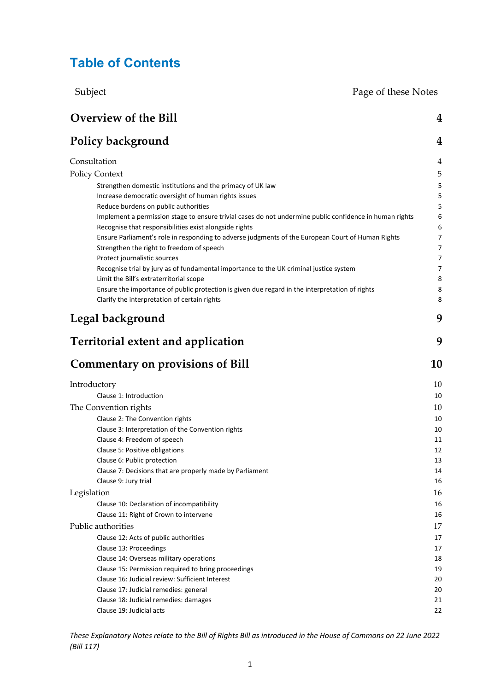## **Table of Contents**

Subject Page of these Notes

| <b>Overview of the Bill</b>                                                                                                       | 4              |
|-----------------------------------------------------------------------------------------------------------------------------------|----------------|
| <b>Policy background</b>                                                                                                          | 4              |
| Consultation                                                                                                                      | 4              |
| <b>Policy Context</b>                                                                                                             | 5              |
| Strengthen domestic institutions and the primacy of UK law                                                                        | 5              |
| Increase democratic oversight of human rights issues                                                                              | 5              |
| Reduce burdens on public authorities                                                                                              | 5              |
| Implement a permission stage to ensure trivial cases do not undermine public confidence in human rights                           | 6              |
| Recognise that responsibilities exist alongside rights                                                                            | 6              |
| Ensure Parliament's role in responding to adverse judgments of the European Court of Human Rights                                 | 7              |
| Strengthen the right to freedom of speech                                                                                         | 7              |
| Protect journalistic sources                                                                                                      | $\overline{7}$ |
| Recognise trial by jury as of fundamental importance to the UK criminal justice system<br>Limit the Bill's extraterritorial scope | 7<br>8         |
| Ensure the importance of public protection is given due regard in the interpretation of rights                                    | 8              |
| Clarify the interpretation of certain rights                                                                                      | 8              |
| Legal background                                                                                                                  | 9              |
| <b>Territorial extent and application</b>                                                                                         | 9              |
| <b>Commentary on provisions of Bill</b>                                                                                           | 10             |
| Introductory                                                                                                                      | 10             |
| Clause 1: Introduction                                                                                                            | 10             |
| The Convention rights                                                                                                             | 10             |
| Clause 2: The Convention rights                                                                                                   | 10             |
| Clause 3: Interpretation of the Convention rights                                                                                 | 10             |
| Clause 4: Freedom of speech                                                                                                       | 11             |
| Clause 5: Positive obligations                                                                                                    | 12             |
| Clause 6: Public protection                                                                                                       | 13             |
| Clause 7: Decisions that are properly made by Parliament                                                                          | 14             |
| Clause 9: Jury trial                                                                                                              | 16             |
| Legislation                                                                                                                       | 16             |
| Clause 10: Declaration of incompatibility                                                                                         | 16             |
| Clause 11: Right of Crown to intervene                                                                                            | 16             |
| Public authorities                                                                                                                | 17             |
| Clause 12: Acts of public authorities                                                                                             | 17             |
| Clause 13: Proceedings<br>Clause 14: Overseas military operations                                                                 | 17<br>18       |
| Clause 15: Permission required to bring proceedings                                                                               | 19             |
| Clause 16: Judicial review: Sufficient Interest                                                                                   | 20             |
| Clause 17: Judicial remedies: general                                                                                             | 20             |
| Clause 18: Judicial remedies: damages                                                                                             | 21             |
| Clause 19: Judicial acts                                                                                                          | 22             |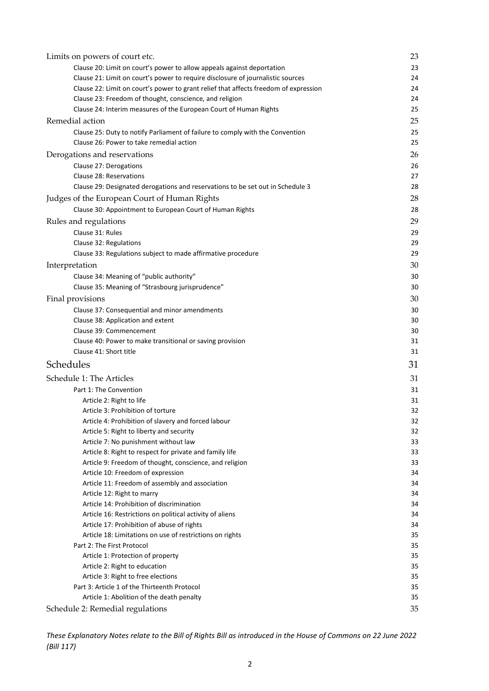| Limits on powers of court etc.                                                                         | 23       |
|--------------------------------------------------------------------------------------------------------|----------|
| Clause 20: Limit on court's power to allow appeals against deportation                                 | 23       |
| Clause 21: Limit on court's power to require disclosure of journalistic sources                        | 24       |
| Clause 22: Limit on court's power to grant relief that affects freedom of expression                   | 24       |
| Clause 23: Freedom of thought, conscience, and religion                                                | 24       |
| Clause 24: Interim measures of the European Court of Human Rights                                      | 25       |
| Remedial action                                                                                        | 25       |
| Clause 25: Duty to notify Parliament of failure to comply with the Convention                          | 25       |
| Clause 26: Power to take remedial action                                                               | 25       |
| Derogations and reservations                                                                           | 26       |
| Clause 27: Derogations                                                                                 | 26       |
| Clause 28: Reservations                                                                                | 27       |
| Clause 29: Designated derogations and reservations to be set out in Schedule 3                         | 28       |
| Judges of the European Court of Human Rights                                                           | 28       |
| Clause 30: Appointment to European Court of Human Rights                                               | 28       |
| Rules and regulations                                                                                  | 29       |
| Clause 31: Rules                                                                                       | 29       |
| Clause 32: Regulations                                                                                 | 29       |
| Clause 33: Regulations subject to made affirmative procedure                                           | 29       |
| Interpretation                                                                                         | 30       |
|                                                                                                        | 30       |
| Clause 34: Meaning of "public authority"<br>Clause 35: Meaning of "Strasbourg jurisprudence"           | 30       |
|                                                                                                        |          |
| Final provisions                                                                                       | 30       |
| Clause 37: Consequential and minor amendments                                                          | 30       |
| Clause 38: Application and extent                                                                      | 30       |
| Clause 39: Commencement                                                                                | 30       |
| Clause 40: Power to make transitional or saving provision                                              | 31<br>31 |
| Clause 41: Short title                                                                                 |          |
| Schedules                                                                                              | 31       |
| Schedule 1: The Articles                                                                               | 31       |
| Part 1: The Convention                                                                                 | 31       |
| Article 2: Right to life                                                                               | 31       |
| Article 3: Prohibition of torture                                                                      | 32       |
| Article 4: Prohibition of slavery and forced labour                                                    | 32       |
| Article 5: Right to liberty and security                                                               | 32       |
| Article 7: No punishment without law                                                                   | 33       |
| Article 8: Right to respect for private and family life                                                | 33       |
| Article 9: Freedom of thought, conscience, and religion                                                | 33       |
| Article 10: Freedom of expression                                                                      | 34       |
| Article 11: Freedom of assembly and association                                                        | 34       |
| Article 12: Right to marry                                                                             | 34       |
| Article 14: Prohibition of discrimination                                                              | 34       |
| Article 16: Restrictions on political activity of aliens<br>Article 17: Prohibition of abuse of rights | 34<br>34 |
| Article 18: Limitations on use of restrictions on rights                                               | 35       |
| Part 2: The First Protocol                                                                             | 35       |
| Article 1: Protection of property                                                                      | 35       |
| Article 2: Right to education                                                                          | 35       |
| Article 3: Right to free elections                                                                     | 35       |
| Part 3: Article 1 of the Thirteenth Protocol                                                           | 35       |
| Article 1: Abolition of the death penalty                                                              | 35       |
| Schedule 2: Remedial regulations                                                                       | 35       |
|                                                                                                        |          |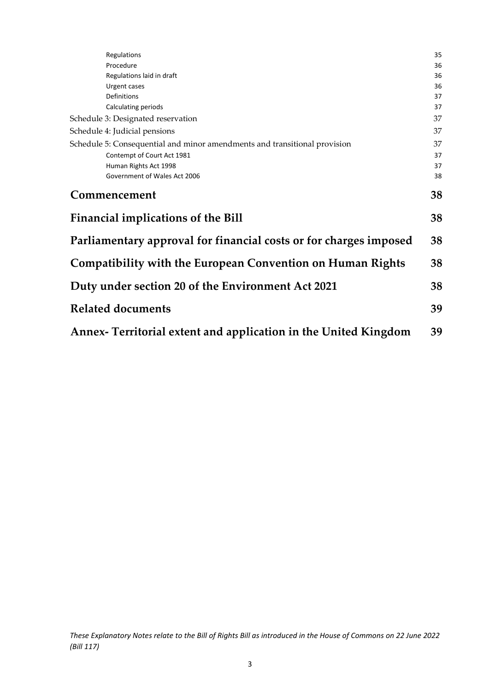| Regulations                                                               | 35 |
|---------------------------------------------------------------------------|----|
| Procedure                                                                 | 36 |
| Regulations laid in draft                                                 | 36 |
| Urgent cases                                                              | 36 |
| Definitions                                                               | 37 |
| Calculating periods                                                       | 37 |
| Schedule 3: Designated reservation                                        | 37 |
| Schedule 4: Judicial pensions                                             | 37 |
| Schedule 5: Consequential and minor amendments and transitional provision | 37 |
| Contempt of Court Act 1981                                                | 37 |
| Human Rights Act 1998                                                     | 37 |
| Government of Wales Act 2006                                              | 38 |
| Commencement                                                              | 38 |
| Financial implications of the Bill                                        | 38 |
| Parliamentary approval for financial costs or for charges imposed         | 38 |
| Compatibility with the European Convention on Human Rights                | 38 |
| Duty under section 20 of the Environment Act 2021                         | 38 |
| <b>Related documents</b>                                                  | 39 |
| Annex- Territorial extent and application in the United Kingdom           | 39 |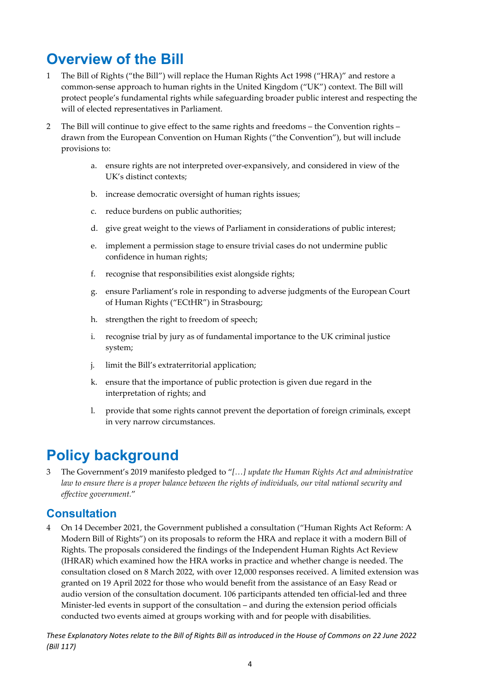## <span id="page-4-0"></span>**Overview of the Bill**

- 1 The Bill of Rights ("the Bill") will replace the Human Rights Act 1998 ("HRA)" and restore a common-sense approach to human rights in the United Kingdom ("UK") context. The Bill will protect people's fundamental rights while safeguarding broader public interest and respecting the will of elected representatives in Parliament.
- 2 The Bill will continue to give effect to the same rights and freedoms the Convention rights drawn from the European Convention on Human Rights ("the Convention"), but will include provisions to:
	- a. ensure rights are not interpreted over-expansively, and considered in view of the UK's distinct contexts;
	- b. increase democratic oversight of human rights issues;
	- c. reduce burdens on public authorities;
	- d. give great weight to the views of Parliament in considerations of public interest;
	- e. implement a permission stage to ensure trivial cases do not undermine public confidence in human rights;
	- f. recognise that responsibilities exist alongside rights;
	- g. ensure Parliament's role in responding to adverse judgments of the European Court of Human Rights ("ECtHR") in Strasbourg;
	- h. strengthen the right to freedom of speech;
	- i. recognise trial by jury as of fundamental importance to the UK criminal justice system;
	- j. limit the Bill's extraterritorial application;
	- k. ensure that the importance of public protection is given due regard in the interpretation of rights; and
	- l. provide that some rights cannot prevent the deportation of foreign criminals, except in very narrow circumstances.

## <span id="page-4-1"></span>**Policy background**

3 The Government's 2019 manifesto pledged to "*[…] update the Human Rights Act and administrative law to ensure there is a proper balance between the rights of individuals, our vital national security and effective government.*"

### <span id="page-4-2"></span>**Consultation**

4 On 14 December 2021, the Government published a consultation ("Human Rights Act Reform: A Modern Bill of Rights") on its proposals to reform the HRA and replace it with a modern Bill of Rights. The proposals considered the findings of the Independent Human Rights Act Review (IHRAR) which examined how the HRA works in practice and whether change is needed. The consultation closed on 8 March 2022, with over 12,000 responses received. A limited extension was granted on 19 April 2022 for those who would benefit from the assistance of an Easy Read or audio version of the consultation document. 106 participants attended ten official-led and three Minister-led events in support of the consultation – and during the extension period officials conducted two events aimed at groups working with and for people with disabilities.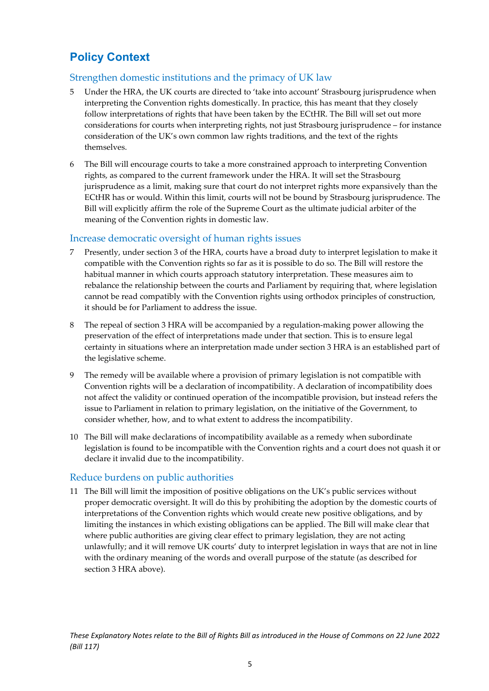## <span id="page-5-0"></span>**Policy Context**

#### <span id="page-5-1"></span>Strengthen domestic institutions and the primacy of UK law

- 5 Under the HRA, the UK courts are directed to 'take into account' Strasbourg jurisprudence when interpreting the Convention rights domestically. In practice, this has meant that they closely follow interpretations of rights that have been taken by the ECtHR. The Bill will set out more considerations for courts when interpreting rights, not just Strasbourg jurisprudence – for instance consideration of the UK's own common law rights traditions, and the text of the rights themselves.
- 6 The Bill will encourage courts to take a more constrained approach to interpreting Convention rights, as compared to the current framework under the HRA. It will set the Strasbourg jurisprudence as a limit, making sure that court do not interpret rights more expansively than the ECtHR has or would. Within this limit, courts will not be bound by Strasbourg jurisprudence. The Bill will explicitly affirm the role of the Supreme Court as the ultimate judicial arbiter of the meaning of the Convention rights in domestic law.

#### <span id="page-5-2"></span>Increase democratic oversight of human rights issues

- 7 Presently, under section 3 of the HRA, courts have a broad duty to interpret legislation to make it compatible with the Convention rights so far as it is possible to do so. The Bill will restore the habitual manner in which courts approach statutory interpretation. These measures aim to rebalance the relationship between the courts and Parliament by requiring that, where legislation cannot be read compatibly with the Convention rights using orthodox principles of construction, it should be for Parliament to address the issue.
- 8 The repeal of section 3 HRA will be accompanied by a regulation-making power allowing the preservation of the effect of interpretations made under that section. This is to ensure legal certainty in situations where an interpretation made under section 3 HRA is an established part of the legislative scheme.
- 9 The remedy will be available where a provision of primary legislation is not compatible with Convention rights will be a declaration of incompatibility. A declaration of incompatibility does not affect the validity or continued operation of the incompatible provision, but instead refers the issue to Parliament in relation to primary legislation, on the initiative of the Government, to consider whether, how, and to what extent to address the incompatibility.
- 10 The Bill will make declarations of incompatibility available as a remedy when subordinate legislation is found to be incompatible with the Convention rights and a court does not quash it or declare it invalid due to the incompatibility.

#### <span id="page-5-3"></span>Reduce burdens on public authorities

11 The Bill will limit the imposition of positive obligations on the UK's public services without proper democratic oversight. It will do this by prohibiting the adoption by the domestic courts of interpretations of the Convention rights which would create new positive obligations, and by limiting the instances in which existing obligations can be applied. The Bill will make clear that where public authorities are giving clear effect to primary legislation, they are not acting unlawfully; and it will remove UK courts' duty to interpret legislation in ways that are not in line with the ordinary meaning of the words and overall purpose of the statute (as described for section 3 HRA above).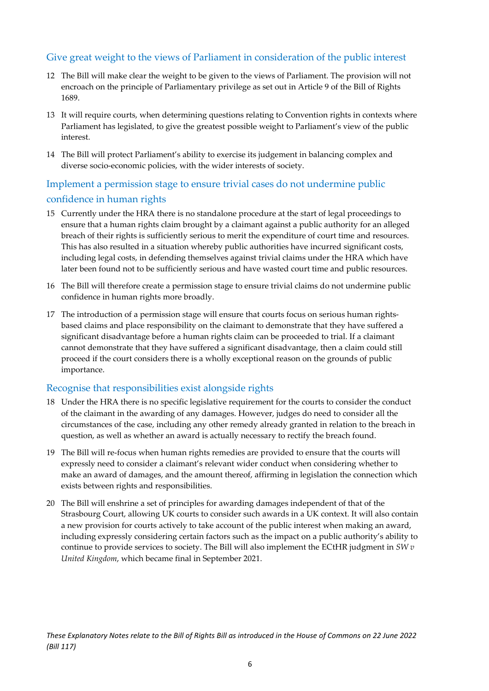#### Give great weight to the views of Parliament in consideration of the public interest

- 12 The Bill will make clear the weight to be given to the views of Parliament. The provision will not encroach on the principle of Parliamentary privilege as set out in Article 9 of the Bill of Rights 1689.
- 13 It will require courts, when determining questions relating to Convention rights in contexts where Parliament has legislated, to give the greatest possible weight to Parliament's view of the public interest.
- 14 The Bill will protect Parliament's ability to exercise its judgement in balancing complex and diverse socio-economic policies, with the wider interests of society.

### <span id="page-6-0"></span>Implement a permission stage to ensure trivial cases do not undermine public confidence in human rights

- 15 Currently under the HRA there is no standalone procedure at the start of legal proceedings to ensure that a human rights claim brought by a claimant against a public authority for an alleged breach of their rights is sufficiently serious to merit the expenditure of court time and resources. This has also resulted in a situation whereby public authorities have incurred significant costs, including legal costs, in defending themselves against trivial claims under the HRA which have later been found not to be sufficiently serious and have wasted court time and public resources.
- 16 The Bill will therefore create a permission stage to ensure trivial claims do not undermine public confidence in human rights more broadly.
- 17 The introduction of a permission stage will ensure that courts focus on serious human rightsbased claims and place responsibility on the claimant to demonstrate that they have suffered a significant disadvantage before a human rights claim can be proceeded to trial. If a claimant cannot demonstrate that they have suffered a significant disadvantage, then a claim could still proceed if the court considers there is a wholly exceptional reason on the grounds of public importance.

#### <span id="page-6-1"></span>Recognise that responsibilities exist alongside rights

- 18 Under the HRA there is no specific legislative requirement for the courts to consider the conduct of the claimant in the awarding of any damages. However, judges do need to consider all the circumstances of the case, including any other remedy already granted in relation to the breach in question, as well as whether an award is actually necessary to rectify the breach found.
- 19 The Bill will re-focus when human rights remedies are provided to ensure that the courts will expressly need to consider a claimant's relevant wider conduct when considering whether to make an award of damages, and the amount thereof, affirming in legislation the connection which exists between rights and responsibilities.
- 20 The Bill will enshrine a set of principles for awarding damages independent of that of the Strasbourg Court, allowing UK courts to consider such awards in a UK context. It will also contain a new provision for courts actively to take account of the public interest when making an award, including expressly considering certain factors such as the impact on a public authority's ability to continue to provide services to society. The Bill will also implement the ECtHR judgment in *SW v United Kingdom*, which became final in September 2021.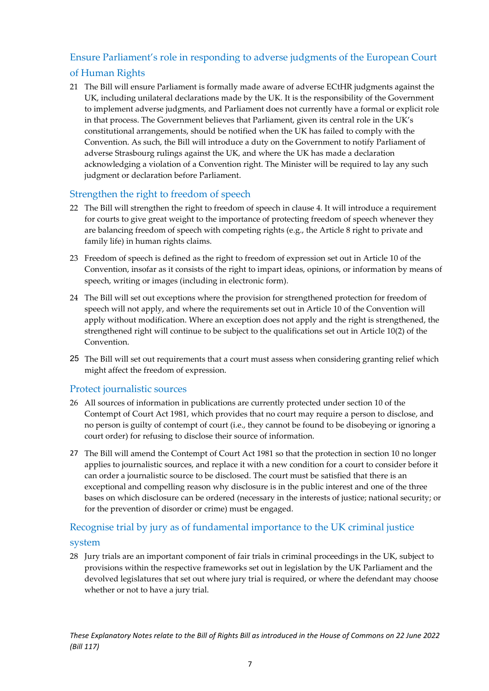#### <span id="page-7-0"></span>Ensure Parliament's role in responding to adverse judgments of the European Court

#### of Human Rights

21 The Bill will ensure Parliament is formally made aware of adverse ECtHR judgments against the UK, including unilateral declarations made by the UK. It is the responsibility of the Government to implement adverse judgments, and Parliament does not currently have a formal or explicit role in that process. The Government believes that Parliament, given its central role in the UK's constitutional arrangements, should be notified when the UK has failed to comply with the Convention. As such, the Bill will introduce a duty on the Government to notify Parliament of adverse Strasbourg rulings against the UK, and where the UK has made a declaration acknowledging a violation of a Convention right. The Minister will be required to lay any such judgment or declaration before Parliament.

#### <span id="page-7-1"></span>Strengthen the right to freedom of speech

- 22 The Bill will strengthen the right to freedom of speech in clause 4. It will introduce a requirement for courts to give great weight to the importance of protecting freedom of speech whenever they are balancing freedom of speech with competing rights (e.g., the Article 8 right to private and family life) in human rights claims.
- 23 Freedom of speech is defined as the right to freedom of expression set out in Article 10 of the Convention, insofar as it consists of the right to impart ideas, opinions, or information by means of speech, writing or images (including in electronic form).
- 24 The Bill will set out exceptions where the provision for strengthened protection for freedom of speech will not apply, and where the requirements set out in Article 10 of the Convention will apply without modification. Where an exception does not apply and the right is strengthened, the strengthened right will continue to be subject to the qualifications set out in Article 10(2) of the Convention.
- 25 The Bill will set out requirements that a court must assess when considering granting relief which might affect the freedom of expression.

#### <span id="page-7-2"></span>Protect journalistic sources

- 26 All sources of information in publications are currently protected under section 10 of the Contempt of Court Act 1981, which provides that no court may require a person to disclose, and no person is guilty of contempt of court (i.e., they cannot be found to be disobeying or ignoring a court order) for refusing to disclose their source of information.
- 27 The Bill will amend the Contempt of Court Act 1981 so that the protection in section 10 no longer applies to journalistic sources, and replace it with a new condition for a court to consider before it can order a journalistic source to be disclosed. The court must be satisfied that there is an exceptional and compelling reason why disclosure is in the public interest and one of the three bases on which disclosure can be ordered (necessary in the interests of justice; national security; or for the prevention of disorder or crime) must be engaged.

#### <span id="page-7-3"></span>Recognise trial by jury as of fundamental importance to the UK criminal justice

#### system

28 Jury trials are an important component of fair trials in criminal proceedings in the UK, subject to provisions within the respective frameworks set out in legislation by the UK Parliament and the devolved legislatures that set out where jury trial is required, or where the defendant may choose whether or not to have a jury trial.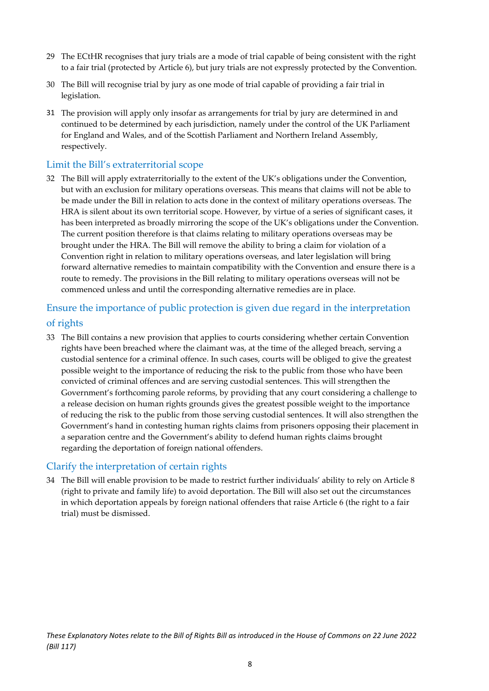- 29 The ECtHR recognises that jury trials are a mode of trial capable of being consistent with the right to a fair trial (protected by Article 6), but jury trials are not expressly protected by the Convention.
- 30 The Bill will recognise trial by jury as one mode of trial capable of providing a fair trial in legislation.
- 31 The provision will apply only insofar as arrangements for trial by jury are determined in and continued to be determined by each jurisdiction, namely under the control of the UK Parliament for England and Wales, and of the Scottish Parliament and Northern Ireland Assembly, respectively.

#### <span id="page-8-0"></span>Limit the Bill's extraterritorial scope

32 The Bill will apply extraterritorially to the extent of the UK's obligations under the Convention, but with an exclusion for military operations overseas. This means that claims will not be able to be made under the Bill in relation to acts done in the context of military operations overseas. The HRA is silent about its own territorial scope. However, by virtue of a series of significant cases, it has been interpreted as broadly mirroring the scope of the UK's obligations under the Convention. The current position therefore is that claims relating to military operations overseas may be brought under the HRA. The Bill will remove the ability to bring a claim for violation of a Convention right in relation to military operations overseas, and later legislation will bring forward alternative remedies to maintain compatibility with the Convention and ensure there is a route to remedy. The provisions in the Bill relating to military operations overseas will not be commenced unless and until the corresponding alternative remedies are in place.

### <span id="page-8-1"></span>Ensure the importance of public protection is given due regard in the interpretation of rights

33 The Bill contains a new provision that applies to courts considering whether certain Convention rights have been breached where the claimant was, at the time of the alleged breach, serving a custodial sentence for a criminal offence. In such cases, courts will be obliged to give the greatest possible weight to the importance of reducing the risk to the public from those who have been convicted of criminal offences and are serving custodial sentences. This will strengthen the Government's forthcoming parole reforms, by providing that any court considering a challenge to a release decision on human rights grounds gives the greatest possible weight to the importance of reducing the risk to the public from those serving custodial sentences. It will also strengthen the Government's hand in contesting human rights claims from prisoners opposing their placement in a separation centre and the Government's ability to defend human rights claims brought regarding the deportation of foreign national offenders.

#### <span id="page-8-2"></span>Clarify the interpretation of certain rights

34 The Bill will enable provision to be made to restrict further individuals' ability to rely on Article 8 (right to private and family life) to avoid deportation. The Bill will also set out the circumstances in which deportation appeals by foreign national offenders that raise Article 6 (the right to a fair trial) must be dismissed.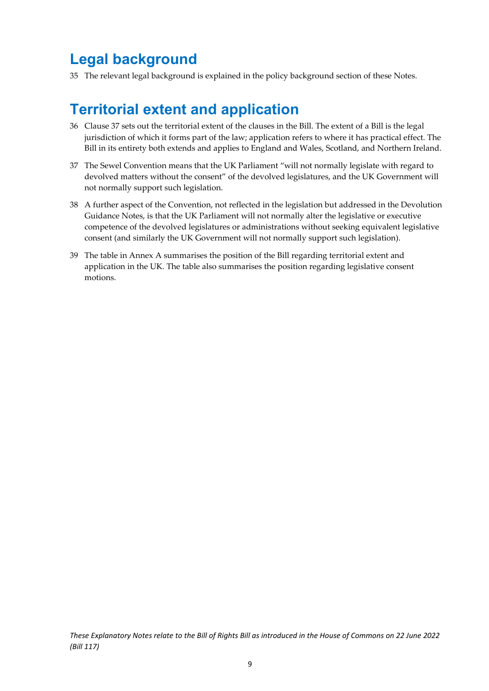## <span id="page-9-0"></span>**Legal background**

35 The relevant legal background is explained in the policy background section of these Notes.

## <span id="page-9-1"></span>**Territorial extent and application**

- 36 Clause 37 sets out the territorial extent of the clauses in the Bill. The extent of a Bill is the legal jurisdiction of which it forms part of the law; application refers to where it has practical effect. The Bill in its entirety both extends and applies to England and Wales, Scotland, and Northern Ireland.
- 37 The Sewel Convention means that the UK Parliament "will not normally legislate with regard to devolved matters without the consent" of the devolved legislatures, and the UK Government will not normally support such legislation.
- 38 A further aspect of the Convention, not reflected in the legislation but addressed in the Devolution Guidance Notes, is that the UK Parliament will not normally alter the legislative or executive competence of the devolved legislatures or administrations without seeking equivalent legislative consent (and similarly the UK Government will not normally support such legislation).
- 39 The table in Annex A summarises the position of the Bill regarding territorial extent and application in the UK. The table also summarises the position regarding legislative consent motions.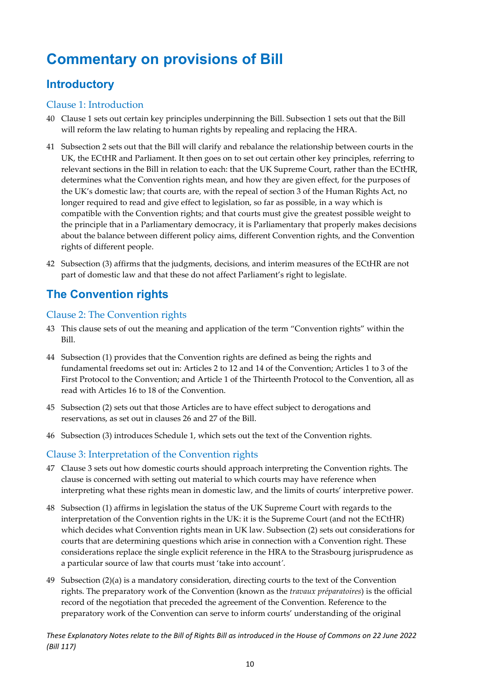## <span id="page-10-0"></span>**Commentary on provisions of Bill**

## <span id="page-10-1"></span>**Introductory**

#### <span id="page-10-2"></span>Clause 1: Introduction

- 40 Clause 1 sets out certain key principles underpinning the Bill. Subsection 1 sets out that the Bill will reform the law relating to human rights by repealing and replacing the HRA.
- 41 Subsection 2 sets out that the Bill will clarify and rebalance the relationship between courts in the UK, the ECtHR and Parliament. It then goes on to set out certain other key principles, referring to relevant sections in the Bill in relation to each: that the UK Supreme Court, rather than the ECtHR, determines what the Convention rights mean, and how they are given effect, for the purposes of the UK's domestic law; that courts are, with the repeal of section 3 of the Human Rights Act, no longer required to read and give effect to legislation, so far as possible, in a way which is compatible with the Convention rights; and that courts must give the greatest possible weight to the principle that in a Parliamentary democracy, it is Parliamentary that properly makes decisions about the balance between different policy aims, different Convention rights, and the Convention rights of different people.
- 42 Subsection (3) affirms that the judgments, decisions, and interim measures of the ECtHR are not part of domestic law and that these do not affect Parliament's right to legislate.

## <span id="page-10-3"></span>**The Convention rights**

#### <span id="page-10-4"></span>Clause 2: The Convention rights

- 43 This clause sets of out the meaning and application of the term "Convention rights" within the Bill.
- 44 Subsection (1) provides that the Convention rights are defined as being the rights and fundamental freedoms set out in: Articles 2 to 12 and 14 of the Convention; Articles 1 to 3 of the First Protocol to the Convention; and Article 1 of the Thirteenth Protocol to the Convention, all as read with Articles 16 to 18 of the Convention.
- 45 Subsection (2) sets out that those Articles are to have effect subject to derogations and reservations, as set out in clauses 26 and 27 of the Bill.
- 46 Subsection (3) introduces Schedule 1, which sets out the text of the Convention rights.

#### <span id="page-10-5"></span>Clause 3: Interpretation of the Convention rights

- 47 Clause 3 sets out how domestic courts should approach interpreting the Convention rights. The clause is concerned with setting out material to which courts may have reference when interpreting what these rights mean in domestic law, and the limits of courts' interpretive power.
- 48 Subsection (1) affirms in legislation the status of the UK Supreme Court with regards to the interpretation of the Convention rights in the UK: it is the Supreme Court (and not the ECtHR) which decides what Convention rights mean in UK law. Subsection (2) sets out considerations for courts that are determining questions which arise in connection with a Convention right. These considerations replace the single explicit reference in the HRA to the Strasbourg jurisprudence as a particular source of law that courts must 'take into account*'*.
- 49 Subsection (2)(a) is a mandatory consideration, directing courts to the text of the Convention rights. The preparatory work of the Convention (known as the *travaux préparatoires*) is the official record of the negotiation that preceded the agreement of the Convention. Reference to the preparatory work of the Convention can serve to inform courts' understanding of the original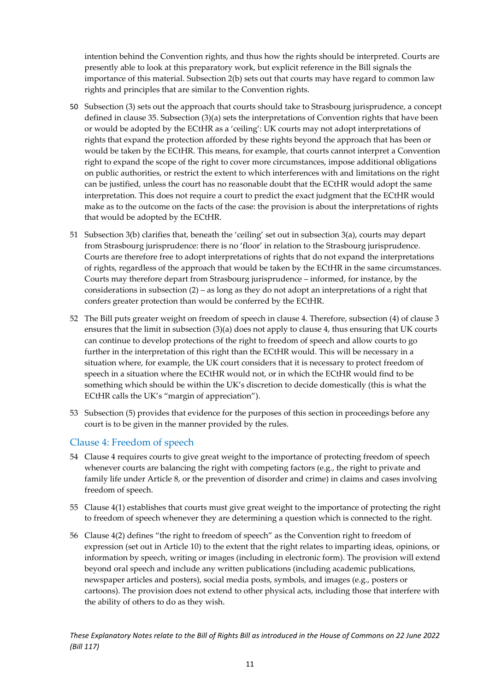intention behind the Convention rights, and thus how the rights should be interpreted. Courts are presently able to look at this preparatory work, but explicit reference in the Bill signals the importance of this material. Subsection 2(b) sets out that courts may have regard to common law rights and principles that are similar to the Convention rights.

- 50 Subsection (3) sets out the approach that courts should take to Strasbourg jurisprudence, a concept defined in clause 35. Subsection (3)(a) sets the interpretations of Convention rights that have been or would be adopted by the ECtHR as a 'ceiling': UK courts may not adopt interpretations of rights that expand the protection afforded by these rights beyond the approach that has been or would be taken by the ECtHR. This means, for example, that courts cannot interpret a Convention right to expand the scope of the right to cover more circumstances, impose additional obligations on public authorities, or restrict the extent to which interferences with and limitations on the right can be justified, unless the court has no reasonable doubt that the ECtHR would adopt the same interpretation. This does not require a court to predict the exact judgment that the ECtHR would make as to the outcome on the facts of the case: the provision is about the interpretations of rights that would be adopted by the ECtHR.
- 51 Subsection 3(b) clarifies that, beneath the 'ceiling' set out in subsection 3(a), courts may depart from Strasbourg jurisprudence: there is no 'floor' in relation to the Strasbourg jurisprudence. Courts are therefore free to adopt interpretations of rights that do not expand the interpretations of rights, regardless of the approach that would be taken by the ECtHR in the same circumstances. Courts may therefore depart from Strasbourg jurisprudence – informed, for instance, by the considerations in subsection  $(2)$  – as long as they do not adopt an interpretations of a right that confers greater protection than would be conferred by the ECtHR.
- 52 The Bill puts greater weight on freedom of speech in clause 4. Therefore, subsection (4) of clause 3 ensures that the limit in subsection  $(3)(a)$  does not apply to clause 4, thus ensuring that UK courts can continue to develop protections of the right to freedom of speech and allow courts to go further in the interpretation of this right than the ECtHR would. This will be necessary in a situation where, for example, the UK court considers that it is necessary to protect freedom of speech in a situation where the ECtHR would not, or in which the ECtHR would find to be something which should be within the UK's discretion to decide domestically (this is what the ECtHR calls the UK's "margin of appreciation").
- 53 Subsection (5) provides that evidence for the purposes of this section in proceedings before any court is to be given in the manner provided by the rules.

#### <span id="page-11-0"></span>Clause 4: Freedom of speech

- 54 Clause 4 requires courts to give great weight to the importance of protecting freedom of speech whenever courts are balancing the right with competing factors (e.g., the right to private and family life under Article 8, or the prevention of disorder and crime) in claims and cases involving freedom of speech.
- 55 Clause 4(1) establishes that courts must give great weight to the importance of protecting the right to freedom of speech whenever they are determining a question which is connected to the right.
- 56 Clause 4(2) defines "the right to freedom of speech" as the Convention right to freedom of expression (set out in Article 10) to the extent that the right relates to imparting ideas, opinions, or information by speech, writing or images (including in electronic form). The provision will extend beyond oral speech and include any written publications (including academic publications, newspaper articles and posters), social media posts, symbols, and images (e.g., posters or cartoons). The provision does not extend to other physical acts, including those that interfere with the ability of others to do as they wish.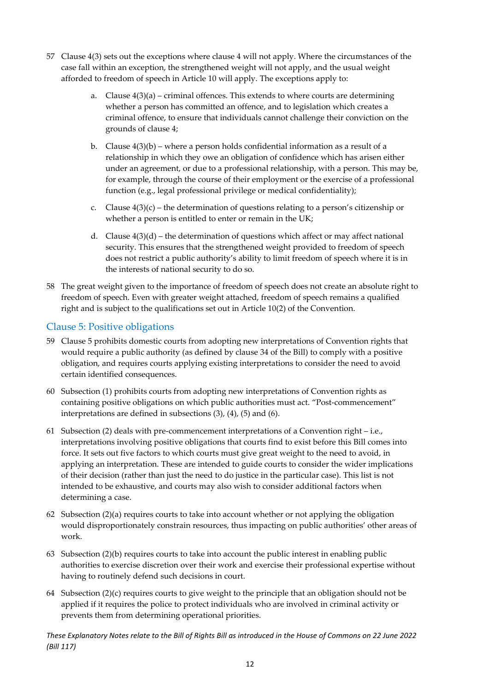- 57 Clause 4(3) sets out the exceptions where clause 4 will not apply. Where the circumstances of the case fall within an exception, the strengthened weight will not apply, and the usual weight afforded to freedom of speech in Article 10 will apply. The exceptions apply to:
	- a. Clause  $4(3)(a)$  criminal offences. This extends to where courts are determining whether a person has committed an offence, and to legislation which creates a criminal offence, to ensure that individuals cannot challenge their conviction on the grounds of clause 4;
	- b. Clause  $4(3)(b)$  where a person holds confidential information as a result of a relationship in which they owe an obligation of confidence which has arisen either under an agreement, or due to a professional relationship, with a person. This may be, for example, through the course of their employment or the exercise of a professional function (e.g., legal professional privilege or medical confidentiality);
	- c. Clause  $4(3)(c)$  the determination of questions relating to a person's citizenship or whether a person is entitled to enter or remain in the UK;
	- d. Clause  $4(3)(d)$  the determination of questions which affect or may affect national security. This ensures that the strengthened weight provided to freedom of speech does not restrict a public authority's ability to limit freedom of speech where it is in the interests of national security to do so.
- 58 The great weight given to the importance of freedom of speech does not create an absolute right to freedom of speech. Even with greater weight attached, freedom of speech remains a qualified right and is subject to the qualifications set out in Article 10(2) of the Convention.

#### <span id="page-12-0"></span>Clause 5: Positive obligations

- 59 Clause 5 prohibits domestic courts from adopting new interpretations of Convention rights that would require a public authority (as defined by clause 34 of the Bill) to comply with a positive obligation, and requires courts applying existing interpretations to consider the need to avoid certain identified consequences.
- 60 Subsection (1) prohibits courts from adopting new interpretations of Convention rights as containing positive obligations on which public authorities must act. "Post-commencement" interpretations are defined in subsections (3), (4), (5) and (6).
- 61 Subsection (2) deals with pre-commencement interpretations of a Convention right i.e., interpretations involving positive obligations that courts find to exist before this Bill comes into force. It sets out five factors to which courts must give great weight to the need to avoid, in applying an interpretation. These are intended to guide courts to consider the wider implications of their decision (rather than just the need to do justice in the particular case). This list is not intended to be exhaustive, and courts may also wish to consider additional factors when determining a case.
- 62 Subsection (2)(a) requires courts to take into account whether or not applying the obligation would disproportionately constrain resources, thus impacting on public authorities' other areas of work.
- 63 Subsection (2)(b) requires courts to take into account the public interest in enabling public authorities to exercise discretion over their work and exercise their professional expertise without having to routinely defend such decisions in court.
- 64 Subsection (2)(c) requires courts to give weight to the principle that an obligation should not be applied if it requires the police to protect individuals who are involved in criminal activity or prevents them from determining operational priorities.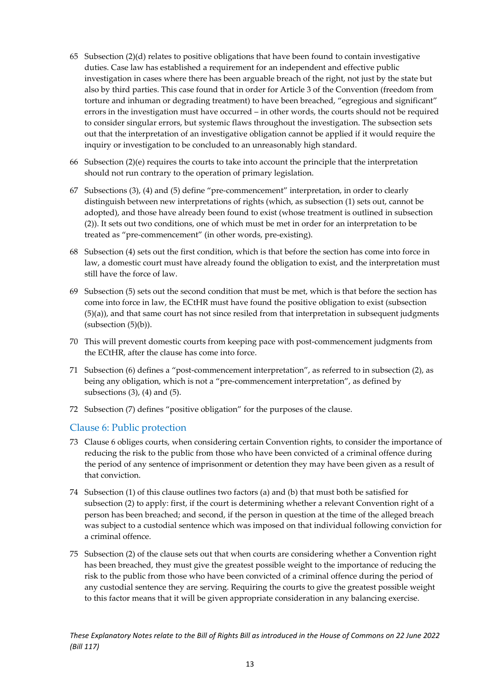- 65 Subsection  $(2)(d)$  relates to positive obligations that have been found to contain investigative duties. Case law has established a requirement for an independent and effective public investigation in cases where there has been arguable breach of the right, not just by the state but also by third parties. This case found that in order for Article 3 of the Convention (freedom from torture and inhuman or degrading treatment) to have been breached, "egregious and significant" errors in the investigation must have occurred – in other words, the courts should not be required to consider singular errors, but systemic flaws throughout the investigation. The subsection sets out that the interpretation of an investigative obligation cannot be applied if it would require the inquiry or investigation to be concluded to an unreasonably high standard.
- 66 Subsection (2)(e) requires the courts to take into account the principle that the interpretation should not run contrary to the operation of primary legislation.
- 67 Subsections (3), (4) and (5) define "pre-commencement" interpretation, in order to clearly distinguish between new interpretations of rights (which, as subsection (1) sets out, cannot be adopted), and those have already been found to exist (whose treatment is outlined in subsection (2)). It sets out two conditions, one of which must be met in order for an interpretation to be treated as "pre-commencement" (in other words, pre-existing).
- 68 Subsection (4) sets out the first condition, which is that before the section has come into force in law, a domestic court must have already found the obligation to exist, and the interpretation must still have the force of law.
- 69 Subsection (5) sets out the second condition that must be met, which is that before the section has come into force in law, the ECtHR must have found the positive obligation to exist (subsection  $(5)(a)$ ), and that same court has not since resiled from that interpretation in subsequent judgments  $(subsection (5)(b)).$
- 70 This will prevent domestic courts from keeping pace with post-commencement judgments from the ECtHR, after the clause has come into force.
- 71 Subsection (6) defines a "post-commencement interpretation", as referred to in subsection (2), as being any obligation, which is not a "pre-commencement interpretation", as defined by subsections  $(3)$ ,  $(4)$  and  $(5)$ .
- 72 Subsection (7) defines "positive obligation" for the purposes of the clause.

#### <span id="page-13-0"></span>Clause 6: Public protection

- 73 Clause 6 obliges courts, when considering certain Convention rights, to consider the importance of reducing the risk to the public from those who have been convicted of a criminal offence during the period of any sentence of imprisonment or detention they may have been given as a result of that conviction.
- 74 Subsection (1) of this clause outlines two factors (a) and (b) that must both be satisfied for subsection (2) to apply: first, if the court is determining whether a relevant Convention right of a person has been breached; and second, if the person in question at the time of the alleged breach was subject to a custodial sentence which was imposed on that individual following conviction for a criminal offence.
- 75 Subsection (2) of the clause sets out that when courts are considering whether a Convention right has been breached, they must give the greatest possible weight to the importance of reducing the risk to the public from those who have been convicted of a criminal offence during the period of any custodial sentence they are serving. Requiring the courts to give the greatest possible weight to this factor means that it will be given appropriate consideration in any balancing exercise.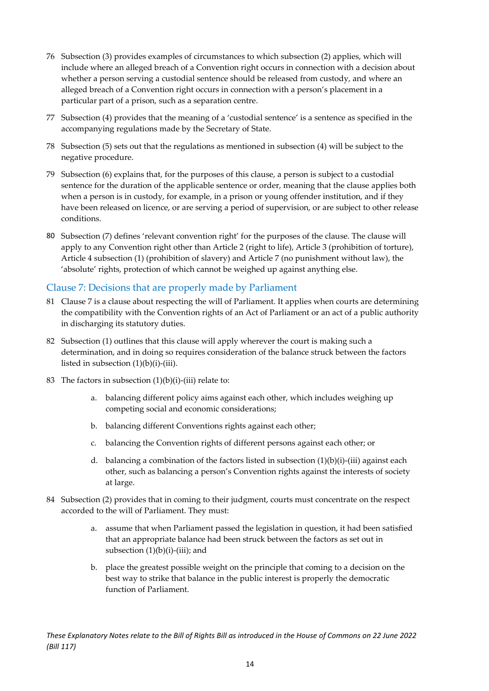- 76 Subsection (3) provides examples of circumstances to which subsection (2) applies, which will include where an alleged breach of a Convention right occurs in connection with a decision about whether a person serving a custodial sentence should be released from custody, and where an alleged breach of a Convention right occurs in connection with a person's placement in a particular part of a prison, such as a separation centre.
- 77 Subsection (4) provides that the meaning of a 'custodial sentence' is a sentence as specified in the accompanying regulations made by the Secretary of State.
- 78 Subsection (5) sets out that the regulations as mentioned in subsection (4) will be subject to the negative procedure.
- 79 Subsection (6) explains that, for the purposes of this clause, a person is subject to a custodial sentence for the duration of the applicable sentence or order, meaning that the clause applies both when a person is in custody, for example, in a prison or young offender institution, and if they have been released on licence, or are serving a period of supervision, or are subject to other release conditions.
- 80 Subsection (7) defines 'relevant convention right' for the purposes of the clause. The clause will apply to any Convention right other than Article 2 (right to life), Article 3 (prohibition of torture), Article 4 subsection (1) (prohibition of slavery) and Article 7 (no punishment without law), the 'absolute' rights, protection of which cannot be weighed up against anything else.

#### <span id="page-14-0"></span>Clause 7: Decisions that are properly made by Parliament

- 81 Clause 7 is a clause about respecting the will of Parliament. It applies when courts are determining the compatibility with the Convention rights of an Act of Parliament or an act of a public authority in discharging its statutory duties.
- 82 Subsection (1) outlines that this clause will apply wherever the court is making such a determination, and in doing so requires consideration of the balance struck between the factors listed in subsection  $(1)(b)(i)$ -(iii).
- 83 The factors in subsection  $(1)(b)(i)$ -(iii) relate to:
	- a. balancing different policy aims against each other, which includes weighing up competing social and economic considerations;
	- b. balancing different Conventions rights against each other;
	- c. balancing the Convention rights of different persons against each other; or
	- d. balancing a combination of the factors listed in subsection  $(1)(b)(i)-(iii)$  against each other, such as balancing a person's Convention rights against the interests of society at large.
- 84 Subsection (2) provides that in coming to their judgment, courts must concentrate on the respect accorded to the will of Parliament. They must:
	- a. assume that when Parliament passed the legislation in question, it had been satisfied that an appropriate balance had been struck between the factors as set out in subsection  $(1)(b)(i)$ -(iii); and
	- b. place the greatest possible weight on the principle that coming to a decision on the best way to strike that balance in the public interest is properly the democratic function of Parliament.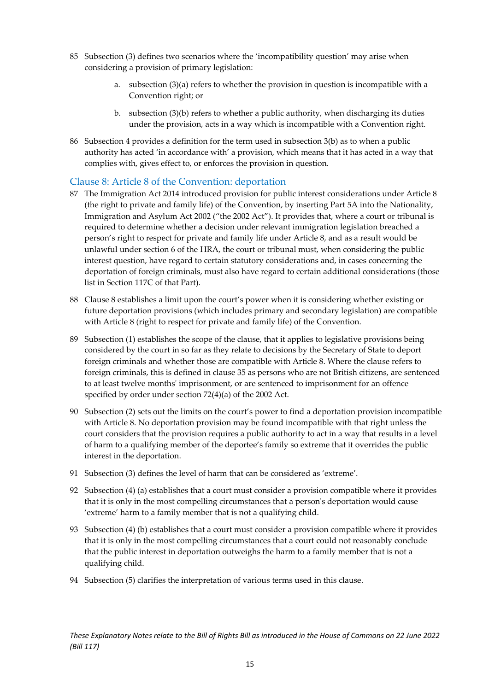- 85 Subsection (3) defines two scenarios where the 'incompatibility question' may arise when considering a provision of primary legislation:
	- a. subsection  $(3)(a)$  refers to whether the provision in question is incompatible with a Convention right; or
	- b. subsection (3)(b) refers to whether a public authority, when discharging its duties under the provision, acts in a way which is incompatible with a Convention right.
- 86 Subsection 4 provides a definition for the term used in subsection 3(b) as to when a public authority has acted 'in accordance with' a provision, which means that it has acted in a way that complies with, gives effect to, or enforces the provision in question.

#### Clause 8: Article 8 of the Convention: deportation

- 87 The Immigration Act 2014 introduced provision for public interest considerations under Article 8 (the right to private and family life) of the Convention, by inserting Part 5A into the Nationality, Immigration and Asylum Act 2002 ("the 2002 Act"). It provides that, where a court or tribunal is required to determine whether a decision under relevant immigration legislation breached a person's right to respect for private and family life under Article 8, and as a result would be unlawful under section 6 of the HRA, the court or tribunal must, when considering the public interest question, have regard to certain statutory considerations and, in cases concerning the deportation of foreign criminals, must also have regard to certain additional considerations (those list in Section 117C of that Part).
- 88 Clause 8 establishes a limit upon the court's power when it is considering whether existing or future deportation provisions (which includes primary and secondary legislation) are compatible with Article 8 (right to respect for private and family life) of the Convention.
- 89 Subsection (1) establishes the scope of the clause, that it applies to legislative provisions being considered by the court in so far as they relate to decisions by the Secretary of State to deport foreign criminals and whether those are compatible with Article 8. Where the clause refers to foreign criminals, this is defined in clause 35 as persons who are not British citizens, are sentenced to at least twelve months' imprisonment, or are sentenced to imprisonment for an offence specified by order under section 72(4)(a) of the 2002 Act.
- 90 Subsection (2) sets out the limits on the court's power to find a deportation provision incompatible with Article 8. No deportation provision may be found incompatible with that right unless the court considers that the provision requires a public authority to act in a way that results in a level of harm to a qualifying member of the deportee's family so extreme that it overrides the public interest in the deportation.
- 91 Subsection (3) defines the level of harm that can be considered as 'extreme'.
- 92 Subsection (4) (a) establishes that a court must consider a provision compatible where it provides that it is only in the most compelling circumstances that a person's deportation would cause 'extreme' harm to a family member that is not a qualifying child.
- 93 Subsection (4) (b) establishes that a court must consider a provision compatible where it provides that it is only in the most compelling circumstances that a court could not reasonably conclude that the public interest in deportation outweighs the harm to a family member that is not a qualifying child.
- 94 Subsection (5) clarifies the interpretation of various terms used in this clause.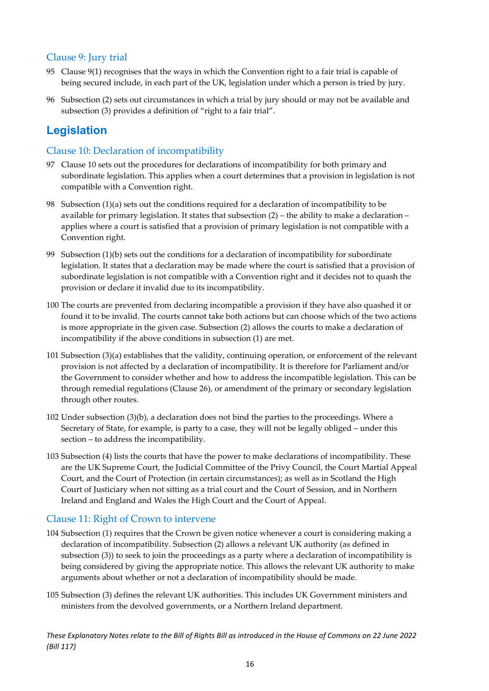#### <span id="page-16-0"></span>Clause 9: Jury trial

- 95 Clause 9(1) recognises that the ways in which the Convention right to a fair trial is capable of being secured include, in each part of the UK, legislation under which a person is tried by jury.
- 96 Subsection (2) sets out circumstances in which a trial by jury should or may not be available and subsection (3) provides a definition of "right to a fair trial".

## <span id="page-16-1"></span>**Legislation**

#### <span id="page-16-2"></span>Clause 10: Declaration of incompatibility

- 97 Clause 10 sets out the procedures for declarations of incompatibility for both primary and subordinate legislation. This applies when a court determines that a provision in legislation is not compatible with a Convention right.
- 98 Subsection (1)(a) sets out the conditions required for a declaration of incompatibility to be available for primary legislation. It states that subsection  $(2)$  – the ability to make a declaration – applies where a court is satisfied that a provision of primary legislation is not compatible with a Convention right.
- 99 Subsection (1)(b) sets out the conditions for a declaration of incompatibility for subordinate legislation. It states that a declaration may be made where the court is satisfied that a provision of subordinate legislation is not compatible with a Convention right and it decides not to quash the provision or declare it invalid due to its incompatibility.
- 100 The courts are prevented from declaring incompatible a provision if they have also quashed it or found it to be invalid. The courts cannot take both actions but can choose which of the two actions is more appropriate in the given case. Subsection (2) allows the courts to make a declaration of incompatibility if the above conditions in subsection (1) are met.
- 101 Subsection (3)(a) establishes that the validity, continuing operation, or enforcement of the relevant provision is not affected by a declaration of incompatibility. It is therefore for Parliament and/or the Government to consider whether and how to address the incompatible legislation. This can be through remedial regulations (Clause 26), or amendment of the primary or secondary legislation through other routes.
- 102 Under subsection (3)(b), a declaration does not bind the parties to the proceedings. Where a Secretary of State, for example, is party to a case, they will not be legally obliged – under this section – to address the incompatibility.
- 103 Subsection (4) lists the courts that have the power to make declarations of incompatibility. These are the UK Supreme Court, the Judicial Committee of the Privy Council, the Court Martial Appeal Court, and the Court of Protection (in certain circumstances); as well as in Scotland the High Court of Justiciary when not sitting as a trial court and the Court of Session, and in Northern Ireland and England and Wales the High Court and the Court of Appeal.

#### <span id="page-16-3"></span>Clause 11: Right of Crown to intervene

- 104 Subsection (1) requires that the Crown be given notice whenever a court is considering making a declaration of incompatibility. Subsection (2) allows a relevant UK authority (as defined in subsection (3)) to seek to join the proceedings as a party where a declaration of incompatibility is being considered by giving the appropriate notice. This allows the relevant UK authority to make arguments about whether or not a declaration of incompatibility should be made.
- 105 Subsection (3) defines the relevant UK authorities. This includes UK Government ministers and ministers from the devolved governments, or a Northern Ireland department.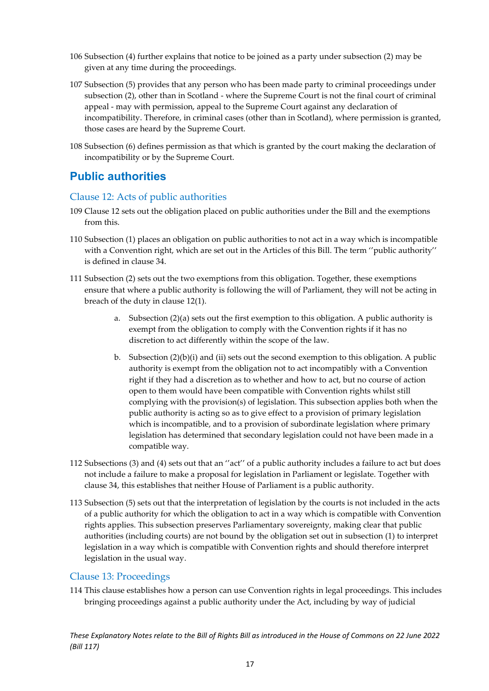- 106 Subsection (4) further explains that notice to be joined as a party under subsection (2) may be given at any time during the proceedings.
- 107 Subsection (5) provides that any person who has been made party to criminal proceedings under subsection (2), other than in Scotland - where the Supreme Court is not the final court of criminal appeal - may with permission, appeal to the Supreme Court against any declaration of incompatibility. Therefore, in criminal cases (other than in Scotland), where permission is granted, those cases are heard by the Supreme Court.
- 108 Subsection (6) defines permission as that which is granted by the court making the declaration of incompatibility or by the Supreme Court.

### <span id="page-17-0"></span>**Public authorities**

#### <span id="page-17-1"></span>Clause 12: Acts of public authorities

- 109 Clause 12 sets out the obligation placed on public authorities under the Bill and the exemptions from this.
- 110 Subsection (1) places an obligation on public authorities to not act in a way which is incompatible with a Convention right, which are set out in the Articles of this Bill. The term ''public authority'' is defined in clause 34.
- 111 Subsection (2) sets out the two exemptions from this obligation. Together, these exemptions ensure that where a public authority is following the will of Parliament, they will not be acting in breach of the duty in clause 12(1).
	- a. Subsection (2)(a) sets out the first exemption to this obligation. A public authority is exempt from the obligation to comply with the Convention rights if it has no discretion to act differently within the scope of the law.
	- b. Subsection  $(2)(b)(i)$  and (ii) sets out the second exemption to this obligation. A public authority is exempt from the obligation not to act incompatibly with a Convention right if they had a discretion as to whether and how to act, but no course of action open to them would have been compatible with Convention rights whilst still complying with the provision(s) of legislation. This subsection applies both when the public authority is acting so as to give effect to a provision of primary legislation which is incompatible, and to a provision of subordinate legislation where primary legislation has determined that secondary legislation could not have been made in a compatible way.
- 112 Subsections (3) and (4) sets out that an ''act'' of a public authority includes a failure to act but does not include a failure to make a proposal for legislation in Parliament or legislate. Together with clause 34, this establishes that neither House of Parliament is a public authority.
- 113 Subsection (5) sets out that the interpretation of legislation by the courts is not included in the acts of a public authority for which the obligation to act in a way which is compatible with Convention rights applies. This subsection preserves Parliamentary sovereignty, making clear that public authorities (including courts) are not bound by the obligation set out in subsection (1) to interpret legislation in a way which is compatible with Convention rights and should therefore interpret legislation in the usual way.

#### <span id="page-17-2"></span>Clause 13: Proceedings

114 This clause establishes how a person can use Convention rights in legal proceedings. This includes bringing proceedings against a public authority under the Act, including by way of judicial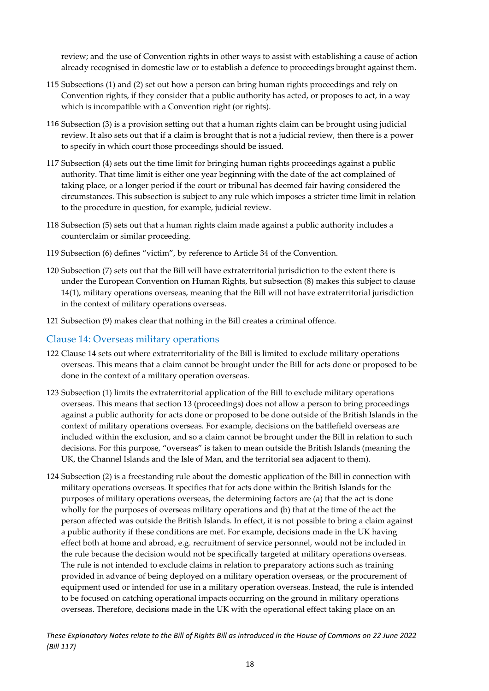review; and the use of Convention rights in other ways to assist with establishing a cause of action already recognised in domestic law or to establish a defence to proceedings brought against them.

- 115 Subsections (1) and (2) set out how a person can bring human rights proceedings and rely on Convention rights, if they consider that a public authority has acted, or proposes to act, in a way which is incompatible with a Convention right (or rights).
- 116 Subsection (3) is a provision setting out that a human rights claim can be brought using judicial review. It also sets out that if a claim is brought that is not a judicial review, then there is a power to specify in which court those proceedings should be issued.
- 117 Subsection (4) sets out the time limit for bringing human rights proceedings against a public authority. That time limit is either one year beginning with the date of the act complained of taking place, or a longer period if the court or tribunal has deemed fair having considered the circumstances. This subsection is subject to any rule which imposes a stricter time limit in relation to the procedure in question, for example, judicial review.
- 118 Subsection (5) sets out that a human rights claim made against a public authority includes a counterclaim or similar proceeding.
- 119 Subsection (6) defines "victim", by reference to Article 34 of the Convention.
- 120 Subsection (7) sets out that the Bill will have extraterritorial jurisdiction to the extent there is under the European Convention on Human Rights, but subsection (8) makes this subject to clause 14(1), military operations overseas, meaning that the Bill will not have extraterritorial jurisdiction in the context of military operations overseas.
- 121 Subsection (9) makes clear that nothing in the Bill creates a criminal offence.

#### <span id="page-18-0"></span>Clause 14: Overseas military operations

- 122 Clause 14 sets out where extraterritoriality of the Bill is limited to exclude military operations overseas. This means that a claim cannot be brought under the Bill for acts done or proposed to be done in the context of a military operation overseas.
- 123 Subsection (1) limits the extraterritorial application of the Bill to exclude military operations overseas. This means that section 13 (proceedings) does not allow a person to bring proceedings against a public authority for acts done or proposed to be done outside of the British Islands in the context of military operations overseas. For example, decisions on the battlefield overseas are included within the exclusion, and so a claim cannot be brought under the Bill in relation to such decisions. For this purpose, "overseas" is taken to mean outside the British Islands (meaning the UK, the Channel Islands and the Isle of Man, and the territorial sea adjacent to them).
- 124 Subsection (2) is a freestanding rule about the domestic application of the Bill in connection with military operations overseas. It specifies that for acts done within the British Islands for the purposes of military operations overseas, the determining factors are (a) that the act is done wholly for the purposes of overseas military operations and (b) that at the time of the act the person affected was outside the British Islands. In effect, it is not possible to bring a claim against a public authority if these conditions are met. For example, decisions made in the UK having effect both at home and abroad, e.g. recruitment of service personnel, would not be included in the rule because the decision would not be specifically targeted at military operations overseas. The rule is not intended to exclude claims in relation to preparatory actions such as training provided in advance of being deployed on a military operation overseas, or the procurement of equipment used or intended for use in a military operation overseas. Instead, the rule is intended to be focused on catching operational impacts occurring on the ground in military operations overseas. Therefore, decisions made in the UK with the operational effect taking place on an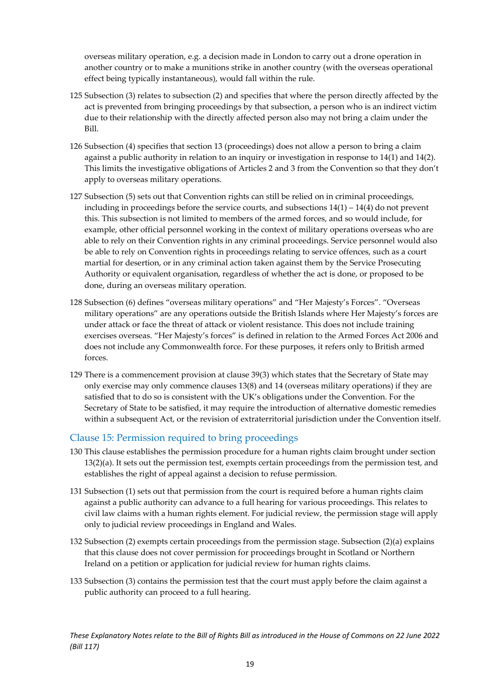overseas military operation, e.g. a decision made in London to carry out a drone operation in another country or to make a munitions strike in another country (with the overseas operational effect being typically instantaneous), would fall within the rule.

- 125 Subsection (3) relates to subsection (2) and specifies that where the person directly affected by the act is prevented from bringing proceedings by that subsection, a person who is an indirect victim due to their relationship with the directly affected person also may not bring a claim under the Bill.
- 126 Subsection (4) specifies that section 13 (proceedings) does not allow a person to bring a claim against a public authority in relation to an inquiry or investigation in response to 14(1) and 14(2). This limits the investigative obligations of Articles 2 and 3 from the Convention so that they don't apply to overseas military operations.
- 127 Subsection (5) sets out that Convention rights can still be relied on in criminal proceedings, including in proceedings before the service courts, and subsections  $14(1) - 14(4)$  do not prevent this. This subsection is not limited to members of the armed forces, and so would include, for example, other official personnel working in the context of military operations overseas who are able to rely on their Convention rights in any criminal proceedings. Service personnel would also be able to rely on Convention rights in proceedings relating to service offences, such as a court martial for desertion, or in any criminal action taken against them by the Service Prosecuting Authority or equivalent organisation, regardless of whether the act is done, or proposed to be done, during an overseas military operation.
- 128 Subsection (6) defines "overseas military operations" and "Her Majesty's Forces". "Overseas military operations" are any operations outside the British Islands where Her Majesty's forces are under attack or face the threat of attack or violent resistance. This does not include training exercises overseas. "Her Majesty's forces" is defined in relation to the Armed Forces Act 2006 and does not include any Commonwealth force. For these purposes, it refers only to British armed forces.
- 129 There is a commencement provision at clause 39(3) which states that the Secretary of State may only exercise may only commence clauses 13(8) and 14 (overseas military operations) if they are satisfied that to do so is consistent with the UK's obligations under the Convention. For the Secretary of State to be satisfied, it may require the introduction of alternative domestic remedies within a subsequent Act, or the revision of extraterritorial jurisdiction under the Convention itself.

#### <span id="page-19-0"></span>Clause 15: Permission required to bring proceedings

- 130 This clause establishes the permission procedure for a human rights claim brought under section 13(2)(a). It sets out the permission test, exempts certain proceedings from the permission test, and establishes the right of appeal against a decision to refuse permission.
- 131 Subsection (1) sets out that permission from the court is required before a human rights claim against a public authority can advance to a full hearing for various proceedings. This relates to civil law claims with a human rights element. For judicial review, the permission stage will apply only to judicial review proceedings in England and Wales.
- 132 Subsection (2) exempts certain proceedings from the permission stage. Subsection (2)(a) explains that this clause does not cover permission for proceedings brought in Scotland or Northern Ireland on a petition or application for judicial review for human rights claims.
- 133 Subsection (3) contains the permission test that the court must apply before the claim against a public authority can proceed to a full hearing.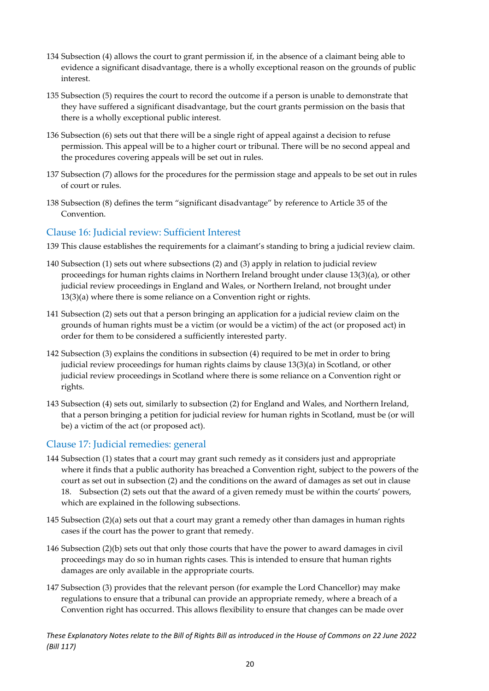- 134 Subsection (4) allows the court to grant permission if, in the absence of a claimant being able to evidence a significant disadvantage, there is a wholly exceptional reason on the grounds of public interest.
- 135 Subsection (5) requires the court to record the outcome if a person is unable to demonstrate that they have suffered a significant disadvantage, but the court grants permission on the basis that there is a wholly exceptional public interest.
- 136 Subsection (6) sets out that there will be a single right of appeal against a decision to refuse permission. This appeal will be to a higher court or tribunal. There will be no second appeal and the procedures covering appeals will be set out in rules.
- 137 Subsection (7) allows for the procedures for the permission stage and appeals to be set out in rules of court or rules.
- 138 Subsection (8) defines the term "significant disadvantage" by reference to Article 35 of the Convention.

#### <span id="page-20-0"></span>Clause 16: Judicial review: Sufficient Interest

- 139 This clause establishes the requirements for a claimant's standing to bring a judicial review claim.
- 140 Subsection (1) sets out where subsections (2) and (3) apply in relation to judicial review proceedings for human rights claims in Northern Ireland brought under clause 13(3)(a), or other judicial review proceedings in England and Wales, or Northern Ireland, not brought under 13(3)(a) where there is some reliance on a Convention right or rights.
- 141 Subsection (2) sets out that a person bringing an application for a judicial review claim on the grounds of human rights must be a victim (or would be a victim) of the act (or proposed act) in order for them to be considered a sufficiently interested party.
- 142 Subsection (3) explains the conditions in subsection (4) required to be met in order to bring judicial review proceedings for human rights claims by clause 13(3)(a) in Scotland, or other judicial review proceedings in Scotland where there is some reliance on a Convention right or rights.
- 143 Subsection (4) sets out, similarly to subsection (2) for England and Wales, and Northern Ireland, that a person bringing a petition for judicial review for human rights in Scotland, must be (or will be) a victim of the act (or proposed act).

#### <span id="page-20-1"></span>Clause 17: Judicial remedies: general

- 144 Subsection (1) states that a court may grant such remedy as it considers just and appropriate where it finds that a public authority has breached a Convention right, subject to the powers of the court as set out in subsection (2) and the conditions on the award of damages as set out in clause 18. Subsection (2) sets out that the award of a given remedy must be within the courts' powers, which are explained in the following subsections.
- 145 Subsection (2)(a) sets out that a court may grant a remedy other than damages in human rights cases if the court has the power to grant that remedy.
- 146 Subsection (2)(b) sets out that only those courts that have the power to award damages in civil proceedings may do so in human rights cases. This is intended to ensure that human rights damages are only available in the appropriate courts.
- 147 Subsection (3) provides that the relevant person (for example the Lord Chancellor) may make regulations to ensure that a tribunal can provide an appropriate remedy, where a breach of a Convention right has occurred. This allows flexibility to ensure that changes can be made over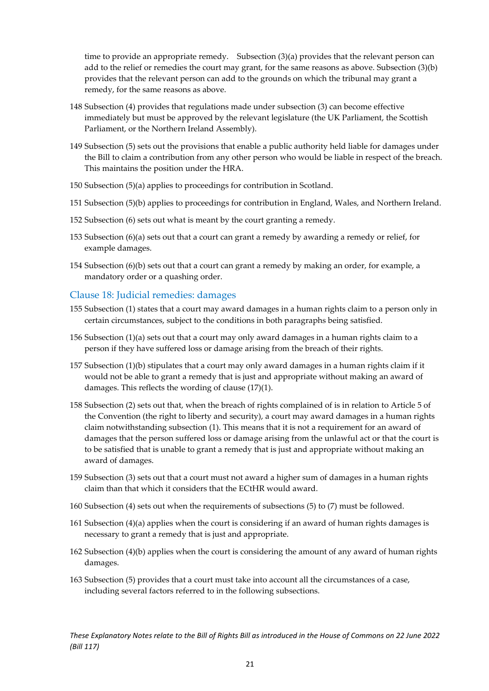time to provide an appropriate remedy. Subsection (3)(a) provides that the relevant person can add to the relief or remedies the court may grant, for the same reasons as above. Subsection (3)(b) provides that the relevant person can add to the grounds on which the tribunal may grant a remedy, for the same reasons as above.

- 148 Subsection (4) provides that regulations made under subsection (3) can become effective immediately but must be approved by the relevant legislature (the UK Parliament, the Scottish Parliament, or the Northern Ireland Assembly).
- 149 Subsection (5) sets out the provisions that enable a public authority held liable for damages under the Bill to claim a contribution from any other person who would be liable in respect of the breach. This maintains the position under the HRA.
- 150 Subsection (5)(a) applies to proceedings for contribution in Scotland.
- 151 Subsection (5)(b) applies to proceedings for contribution in England, Wales, and Northern Ireland.
- 152 Subsection (6) sets out what is meant by the court granting a remedy.
- 153 Subsection (6)(a) sets out that a court can grant a remedy by awarding a remedy or relief, for example damages.
- 154 Subsection (6)(b) sets out that a court can grant a remedy by making an order, for example, a mandatory order or a quashing order.

#### <span id="page-21-0"></span>Clause 18: Judicial remedies: damages

- 155 Subsection (1) states that a court may award damages in a human rights claim to a person only in certain circumstances, subject to the conditions in both paragraphs being satisfied.
- 156 Subsection (1)(a) sets out that a court may only award damages in a human rights claim to a person if they have suffered loss or damage arising from the breach of their rights.
- 157 Subsection (1)(b) stipulates that a court may only award damages in a human rights claim if it would not be able to grant a remedy that is just and appropriate without making an award of damages. This reflects the wording of clause (17)(1).
- 158 Subsection (2) sets out that, when the breach of rights complained of is in relation to Article 5 of the Convention (the right to liberty and security), a court may award damages in a human rights claim notwithstanding subsection (1). This means that it is not a requirement for an award of damages that the person suffered loss or damage arising from the unlawful act or that the court is to be satisfied that is unable to grant a remedy that is just and appropriate without making an award of damages.
- 159 Subsection (3) sets out that a court must not award a higher sum of damages in a human rights claim than that which it considers that the ECtHR would award.
- 160 Subsection (4) sets out when the requirements of subsections (5) to (7) must be followed.
- 161 Subsection (4)(a) applies when the court is considering if an award of human rights damages is necessary to grant a remedy that is just and appropriate.
- 162 Subsection (4)(b) applies when the court is considering the amount of any award of human rights damages.
- 163 Subsection (5) provides that a court must take into account all the circumstances of a case, including several factors referred to in the following subsections.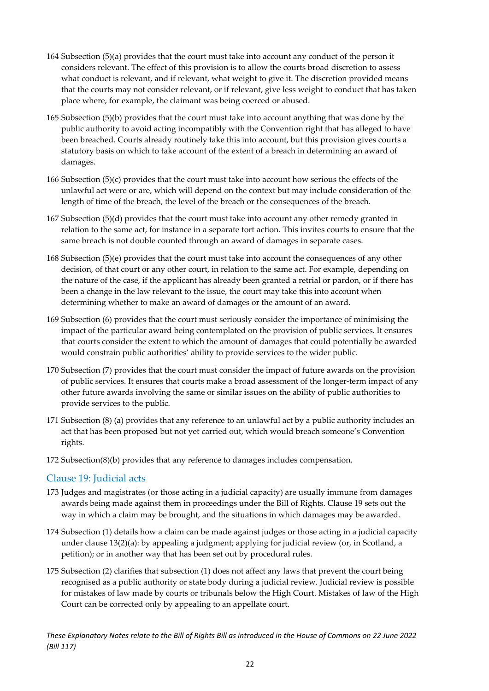- 164 Subsection (5)(a) provides that the court must take into account any conduct of the person it considers relevant. The effect of this provision is to allow the courts broad discretion to assess what conduct is relevant, and if relevant, what weight to give it. The discretion provided means that the courts may not consider relevant, or if relevant, give less weight to conduct that has taken place where, for example, the claimant was being coerced or abused.
- 165 Subsection (5)(b) provides that the court must take into account anything that was done by the public authority to avoid acting incompatibly with the Convention right that has alleged to have been breached. Courts already routinely take this into account, but this provision gives courts a statutory basis on which to take account of the extent of a breach in determining an award of damages.
- 166 Subsection (5)(c) provides that the court must take into account how serious the effects of the unlawful act were or are, which will depend on the context but may include consideration of the length of time of the breach, the level of the breach or the consequences of the breach.
- 167 Subsection (5)(d) provides that the court must take into account any other remedy granted in relation to the same act, for instance in a separate tort action. This invites courts to ensure that the same breach is not double counted through an award of damages in separate cases.
- 168 Subsection (5)(e) provides that the court must take into account the consequences of any other decision, of that court or any other court, in relation to the same act. For example, depending on the nature of the case, if the applicant has already been granted a retrial or pardon, or if there has been a change in the law relevant to the issue, the court may take this into account when determining whether to make an award of damages or the amount of an award.
- 169 Subsection (6) provides that the court must seriously consider the importance of minimising the impact of the particular award being contemplated on the provision of public services. It ensures that courts consider the extent to which the amount of damages that could potentially be awarded would constrain public authorities' ability to provide services to the wider public.
- 170 Subsection (7) provides that the court must consider the impact of future awards on the provision of public services. It ensures that courts make a broad assessment of the longer-term impact of any other future awards involving the same or similar issues on the ability of public authorities to provide services to the public.
- 171 Subsection (8) (a) provides that any reference to an unlawful act by a public authority includes an act that has been proposed but not yet carried out, which would breach someone's Convention rights.
- 172 Subsection(8)(b) provides that any reference to damages includes compensation.

#### <span id="page-22-0"></span>Clause 19: Judicial acts

- 173 Judges and magistrates (or those acting in a judicial capacity) are usually immune from damages awards being made against them in proceedings under the Bill of Rights. Clause 19 sets out the way in which a claim may be brought, and the situations in which damages may be awarded.
- 174 Subsection (1) details how a claim can be made against judges or those acting in a judicial capacity under clause 13(2)(a): by appealing a judgment; applying for judicial review (or, in Scotland, a petition); or in another way that has been set out by procedural rules.
- 175 Subsection (2) clarifies that subsection (1) does not affect any laws that prevent the court being recognised as a public authority or state body during a judicial review. Judicial review is possible for mistakes of law made by courts or tribunals below the High Court. Mistakes of law of the High Court can be corrected only by appealing to an appellate court.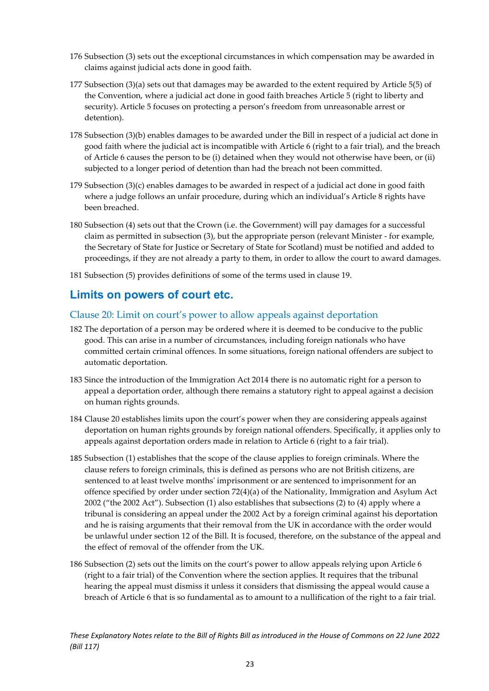- 176 Subsection (3) sets out the exceptional circumstances in which compensation may be awarded in claims against judicial acts done in good faith.
- 177 Subsection (3)(a) sets out that damages may be awarded to the extent required by Article 5(5) of the Convention, where a judicial act done in good faith breaches Article 5 (right to liberty and security). Article 5 focuses on protecting a person's freedom from unreasonable arrest or detention).
- 178 Subsection (3)(b) enables damages to be awarded under the Bill in respect of a judicial act done in good faith where the judicial act is incompatible with Article 6 (right to a fair trial), and the breach of Article 6 causes the person to be (i) detained when they would not otherwise have been, or (ii) subjected to a longer period of detention than had the breach not been committed.
- 179 Subsection (3)(c) enables damages to be awarded in respect of a judicial act done in good faith where a judge follows an unfair procedure, during which an individual's Article 8 rights have been breached.
- 180 Subsection (4) sets out that the Crown (i.e. the Government) will pay damages for a successful claim as permitted in subsection (3), but the appropriate person (relevant Minister - for example, the Secretary of State for Justice or Secretary of State for Scotland) must be notified and added to proceedings, if they are not already a party to them, in order to allow the court to award damages.
- 181 Subsection (5) provides definitions of some of the terms used in clause 19.

## <span id="page-23-0"></span>**Limits on powers of court etc.**

#### <span id="page-23-1"></span>Clause 20: Limit on court's power to allow appeals against deportation

- 182 The deportation of a person may be ordered where it is deemed to be conducive to the public good. This can arise in a number of circumstances, including foreign nationals who have committed certain criminal offences. In some situations, foreign national offenders are subject to automatic deportation.
- 183 Since the introduction of the Immigration Act 2014 there is no automatic right for a person to appeal a deportation order, although there remains a statutory right to appeal against a decision on human rights grounds.
- 184 Clause 20 establishes limits upon the court's power when they are considering appeals against deportation on human rights grounds by foreign national offenders. Specifically, it applies only to appeals against deportation orders made in relation to Article 6 (right to a fair trial).
- 185 Subsection (1) establishes that the scope of the clause applies to foreign criminals. Where the clause refers to foreign criminals, this is defined as persons who are not British citizens, are sentenced to at least twelve months' imprisonment or are sentenced to imprisonment for an offence specified by order under section 72(4)(a) of the Nationality, Immigration and Asylum Act 2002 ("the 2002 Act"). Subsection (1) also establishes that subsections (2) to (4) apply where a tribunal is considering an appeal under the 2002 Act by a foreign criminal against his deportation and he is raising arguments that their removal from the UK in accordance with the order would be unlawful under section 12 of the Bill. It is focused, therefore, on the substance of the appeal and the effect of removal of the offender from the UK.
- 186 Subsection (2) sets out the limits on the court's power to allow appeals relying upon Article 6 (right to a fair trial) of the Convention where the section applies. It requires that the tribunal hearing the appeal must dismiss it unless it considers that dismissing the appeal would cause a breach of Article 6 that is so fundamental as to amount to a nullification of the right to a fair trial.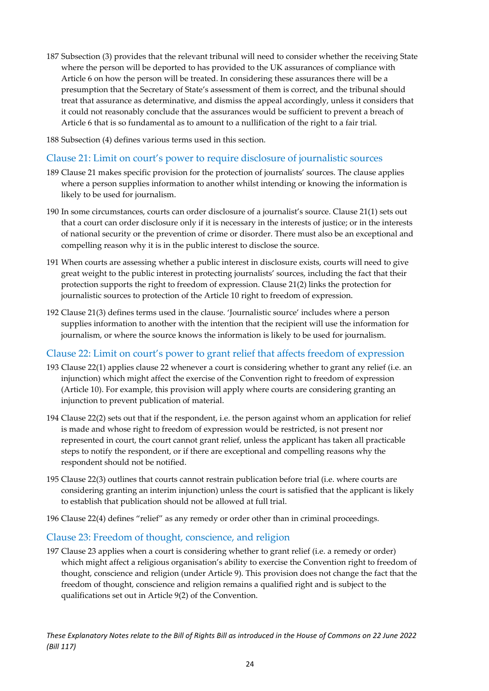- 187 Subsection (3) provides that the relevant tribunal will need to consider whether the receiving State where the person will be deported to has provided to the UK assurances of compliance with Article 6 on how the person will be treated. In considering these assurances there will be a presumption that the Secretary of State's assessment of them is correct, and the tribunal should treat that assurance as determinative, and dismiss the appeal accordingly, unless it considers that it could not reasonably conclude that the assurances would be sufficient to prevent a breach of Article 6 that is so fundamental as to amount to a nullification of the right to a fair trial.
- 188 Subsection (4) defines various terms used in this section.

#### <span id="page-24-0"></span>Clause 21: Limit on court's power to require disclosure of journalistic sources

- 189 Clause 21 makes specific provision for the protection of journalists' sources. The clause applies where a person supplies information to another whilst intending or knowing the information is likely to be used for journalism.
- 190 In some circumstances, courts can order disclosure of a journalist's source. Clause 21(1) sets out that a court can order disclosure only if it is necessary in the interests of justice; or in the interests of national security or the prevention of crime or disorder. There must also be an exceptional and compelling reason why it is in the public interest to disclose the source.
- 191 When courts are assessing whether a public interest in disclosure exists, courts will need to give great weight to the public interest in protecting journalists' sources, including the fact that their protection supports the right to freedom of expression. Clause 21(2) links the protection for journalistic sources to protection of the Article 10 right to freedom of expression.
- 192 Clause 21(3) defines terms used in the clause. 'Journalistic source' includes where a person supplies information to another with the intention that the recipient will use the information for journalism, or where the source knows the information is likely to be used for journalism.

#### <span id="page-24-1"></span>Clause 22: Limit on court's power to grant relief that affects freedom of expression

- 193 Clause 22(1) applies clause 22 whenever a court is considering whether to grant any relief (i.e. an injunction) which might affect the exercise of the Convention right to freedom of expression (Article 10). For example, this provision will apply where courts are considering granting an injunction to prevent publication of material.
- 194 Clause 22(2) sets out that if the respondent, i.e. the person against whom an application for relief is made and whose right to freedom of expression would be restricted, is not present nor represented in court, the court cannot grant relief, unless the applicant has taken all practicable steps to notify the respondent, or if there are exceptional and compelling reasons why the respondent should not be notified.
- 195 Clause 22(3) outlines that courts cannot restrain publication before trial (i.e. where courts are considering granting an interim injunction) unless the court is satisfied that the applicant is likely to establish that publication should not be allowed at full trial.
- 196 Clause 22(4) defines "relief" as any remedy or order other than in criminal proceedings.

#### <span id="page-24-2"></span>Clause 23: Freedom of thought, conscience, and religion

197 Clause 23 applies when a court is considering whether to grant relief (i.e. a remedy or order) which might affect a religious organisation's ability to exercise the Convention right to freedom of thought, conscience and religion (under Article 9). This provision does not change the fact that the freedom of thought, conscience and religion remains a qualified right and is subject to the qualifications set out in Article 9(2) of the Convention.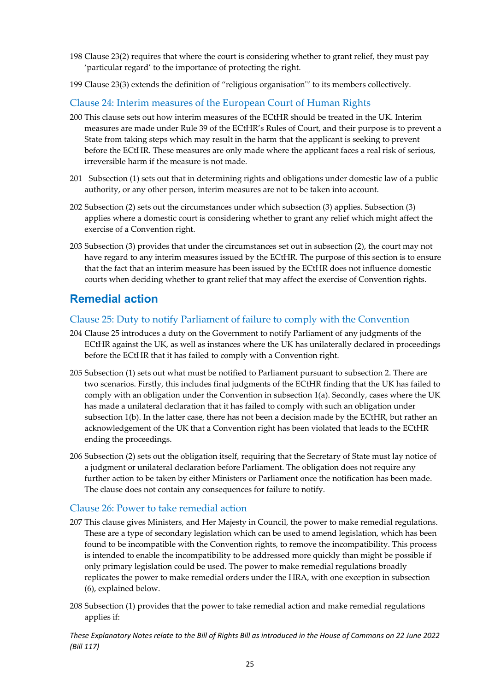- 198 Clause 23(2) requires that where the court is considering whether to grant relief, they must pay 'particular regard' to the importance of protecting the right.
- 199 Clause 23(3) extends the definition of "religious organisation"' to its members collectively.

#### <span id="page-25-0"></span>Clause 24: Interim measures of the European Court of Human Rights

- 200 This clause sets out how interim measures of the ECtHR should be treated in the UK. Interim measures are made under Rule 39 of the ECtHR's Rules of Court, and their purpose is to prevent a State from taking steps which may result in the harm that the applicant is seeking to prevent before the ECtHR. These measures are only made where the applicant faces a real risk of serious, irreversible harm if the measure is not made.
- 201 Subsection (1) sets out that in determining rights and obligations under domestic law of a public authority, or any other person, interim measures are not to be taken into account.
- 202 Subsection (2) sets out the circumstances under which subsection (3) applies. Subsection (3) applies where a domestic court is considering whether to grant any relief which might affect the exercise of a Convention right.
- 203 Subsection (3) provides that under the circumstances set out in subsection (2), the court may not have regard to any interim measures issued by the ECtHR. The purpose of this section is to ensure that the fact that an interim measure has been issued by the ECtHR does not influence domestic courts when deciding whether to grant relief that may affect the exercise of Convention rights.

### <span id="page-25-1"></span>**Remedial action**

#### <span id="page-25-2"></span>Clause 25: Duty to notify Parliament of failure to comply with the Convention

- 204 Clause 25 introduces a duty on the Government to notify Parliament of any judgments of the ECtHR against the UK, as well as instances where the UK has unilaterally declared in proceedings before the ECtHR that it has failed to comply with a Convention right.
- 205 Subsection (1) sets out what must be notified to Parliament pursuant to subsection 2. There are two scenarios. Firstly, this includes final judgments of the ECtHR finding that the UK has failed to comply with an obligation under the Convention in subsection 1(a). Secondly, cases where the UK has made a unilateral declaration that it has failed to comply with such an obligation under subsection 1(b). In the latter case, there has not been a decision made by the ECtHR, but rather an acknowledgement of the UK that a Convention right has been violated that leads to the ECtHR ending the proceedings.
- 206 Subsection (2) sets out the obligation itself, requiring that the Secretary of State must lay notice of a judgment or unilateral declaration before Parliament. The obligation does not require any further action to be taken by either Ministers or Parliament once the notification has been made. The clause does not contain any consequences for failure to notify.

#### <span id="page-25-3"></span>Clause 26: Power to take remedial action

- 207 This clause gives Ministers, and Her Majesty in Council, the power to make remedial regulations. These are a type of secondary legislation which can be used to amend legislation, which has been found to be incompatible with the Convention rights, to remove the incompatibility. This process is intended to enable the incompatibility to be addressed more quickly than might be possible if only primary legislation could be used. The power to make remedial regulations broadly replicates the power to make remedial orders under the HRA, with one exception in subsection (6), explained below.
- 208 Subsection (1) provides that the power to take remedial action and make remedial regulations applies if: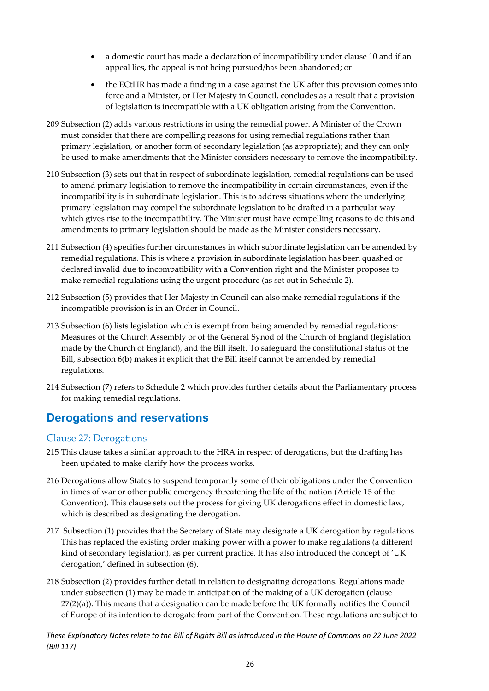- a domestic court has made a declaration of incompatibility under clause 10 and if an appeal lies, the appeal is not being pursued/has been abandoned; or
- the ECtHR has made a finding in a case against the UK after this provision comes into force and a Minister, or Her Majesty in Council, concludes as a result that a provision of legislation is incompatible with a UK obligation arising from the Convention.
- 209 Subsection (2) adds various restrictions in using the remedial power. A Minister of the Crown must consider that there are compelling reasons for using remedial regulations rather than primary legislation, or another form of secondary legislation (as appropriate); and they can only be used to make amendments that the Minister considers necessary to remove the incompatibility.
- 210 Subsection (3) sets out that in respect of subordinate legislation, remedial regulations can be used to amend primary legislation to remove the incompatibility in certain circumstances, even if the incompatibility is in subordinate legislation. This is to address situations where the underlying primary legislation may compel the subordinate legislation to be drafted in a particular way which gives rise to the incompatibility. The Minister must have compelling reasons to do this and amendments to primary legislation should be made as the Minister considers necessary.
- 211 Subsection (4) specifies further circumstances in which subordinate legislation can be amended by remedial regulations. This is where a provision in subordinate legislation has been quashed or declared invalid due to incompatibility with a Convention right and the Minister proposes to make remedial regulations using the urgent procedure (as set out in Schedule 2).
- 212 Subsection (5) provides that Her Majesty in Council can also make remedial regulations if the incompatible provision is in an Order in Council.
- 213 Subsection (6) lists legislation which is exempt from being amended by remedial regulations: Measures of the Church Assembly or of the General Synod of the Church of England (legislation made by the Church of England), and the Bill itself. To safeguard the constitutional status of the Bill, subsection 6(b) makes it explicit that the Bill itself cannot be amended by remedial regulations.
- 214 Subsection (7) refers to Schedule 2 which provides further details about the Parliamentary process for making remedial regulations.

### <span id="page-26-0"></span>**Derogations and reservations**

#### <span id="page-26-1"></span>Clause 27: Derogations

- 215 This clause takes a similar approach to the HRA in respect of derogations, but the drafting has been updated to make clarify how the process works.
- 216 Derogations allow States to suspend temporarily some of their obligations under the Convention in times of war or other public emergency threatening the life of the nation (Article 15 of the Convention). This clause sets out the process for giving UK derogations effect in domestic law, which is described as designating the derogation.
- 217 Subsection (1) provides that the Secretary of State may designate a UK derogation by regulations. This has replaced the existing order making power with a power to make regulations (a different kind of secondary legislation), as per current practice. It has also introduced the concept of 'UK derogation,' defined in subsection (6).
- 218 Subsection (2) provides further detail in relation to designating derogations. Regulations made under subsection (1) may be made in anticipation of the making of a UK derogation (clause  $27(2)(a)$ ). This means that a designation can be made before the UK formally notifies the Council of Europe of its intention to derogate from part of the Convention. These regulations are subject to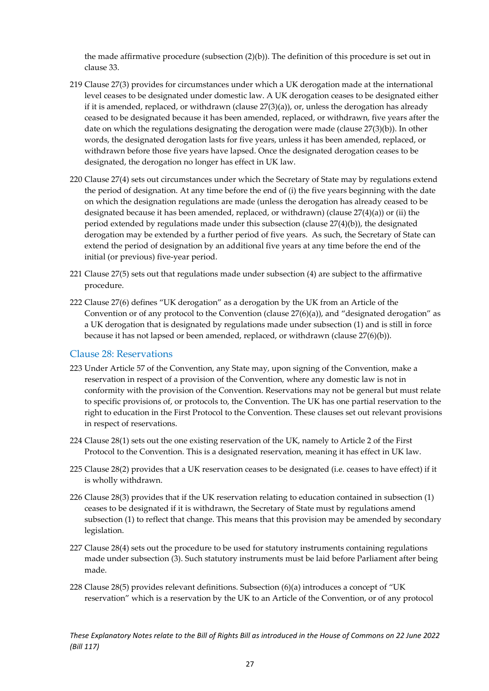the made affirmative procedure (subsection (2)(b)). The definition of this procedure is set out in clause 33.

- 219 Clause 27(3) provides for circumstances under which a UK derogation made at the international level ceases to be designated under domestic law. A UK derogation ceases to be designated either if it is amended, replaced, or withdrawn (clause  $27(3)(a)$ ), or, unless the derogation has already ceased to be designated because it has been amended, replaced, or withdrawn, five years after the date on which the regulations designating the derogation were made (clause 27(3)(b)). In other words, the designated derogation lasts for five years, unless it has been amended, replaced, or withdrawn before those five years have lapsed. Once the designated derogation ceases to be designated, the derogation no longer has effect in UK law.
- 220 Clause 27(4) sets out circumstances under which the Secretary of State may by regulations extend the period of designation. At any time before the end of (i) the five years beginning with the date on which the designation regulations are made (unless the derogation has already ceased to be designated because it has been amended, replaced, or withdrawn) (clause  $27(4)(a)$ ) or (ii) the period extended by regulations made under this subsection (clause 27(4)(b)), the designated derogation may be extended by a further period of five years. As such, the Secretary of State can extend the period of designation by an additional five years at any time before the end of the initial (or previous) five-year period.
- 221 Clause 27(5) sets out that regulations made under subsection (4) are subject to the affirmative procedure.
- 222 Clause 27(6) defines "UK derogation" as a derogation by the UK from an Article of the Convention or of any protocol to the Convention (clause  $27(6)(a)$ ), and "designated derogation" as a UK derogation that is designated by regulations made under subsection (1) and is still in force because it has not lapsed or been amended, replaced, or withdrawn (clause 27(6)(b)).

#### <span id="page-27-0"></span>Clause 28: Reservations

- 223 Under Article 57 of the Convention, any State may, upon signing of the Convention, make a reservation in respect of a provision of the Convention, where any domestic law is not in conformity with the provision of the Convention. Reservations may not be general but must relate to specific provisions of, or protocols to, the Convention. The UK has one partial reservation to the right to education in the First Protocol to the Convention. These clauses set out relevant provisions in respect of reservations.
- 224 Clause 28(1) sets out the one existing reservation of the UK, namely to Article 2 of the First Protocol to the Convention. This is a designated reservation, meaning it has effect in UK law.
- 225 Clause 28(2) provides that a UK reservation ceases to be designated (i.e. ceases to have effect) if it is wholly withdrawn.
- 226 Clause 28(3) provides that if the UK reservation relating to education contained in subsection (1) ceases to be designated if it is withdrawn, the Secretary of State must by regulations amend subsection (1) to reflect that change. This means that this provision may be amended by secondary legislation.
- 227 Clause 28(4) sets out the procedure to be used for statutory instruments containing regulations made under subsection (3). Such statutory instruments must be laid before Parliament after being made.
- 228 Clause 28(5) provides relevant definitions. Subsection (6)(a) introduces a concept of "UK reservation" which is a reservation by the UK to an Article of the Convention, or of any protocol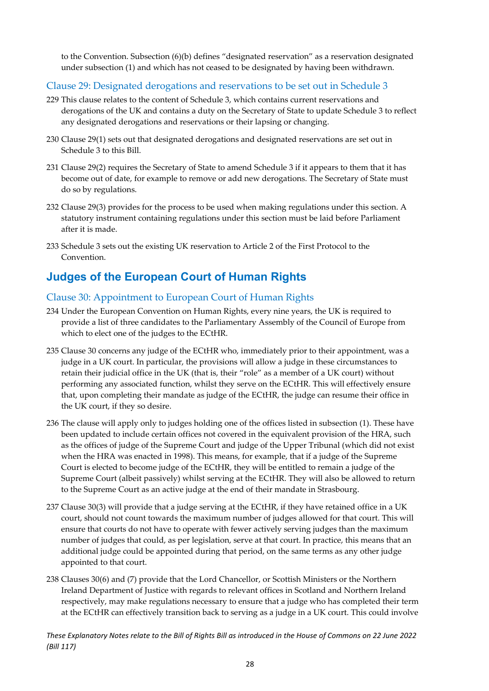to the Convention. Subsection (6)(b) defines "designated reservation" as a reservation designated under subsection (1) and which has not ceased to be designated by having been withdrawn.

#### <span id="page-28-0"></span>Clause 29: Designated derogations and reservations to be set out in Schedule 3

- 229 This clause relates to the content of Schedule 3, which contains current reservations and derogations of the UK and contains a duty on the Secretary of State to update Schedule 3 to reflect any designated derogations and reservations or their lapsing or changing.
- 230 Clause 29(1) sets out that designated derogations and designated reservations are set out in Schedule 3 to this Bill.
- 231 Clause 29(2) requires the Secretary of State to amend Schedule 3 if it appears to them that it has become out of date, for example to remove or add new derogations. The Secretary of State must do so by regulations.
- 232 Clause 29(3) provides for the process to be used when making regulations under this section. A statutory instrument containing regulations under this section must be laid before Parliament after it is made.
- 233 Schedule 3 sets out the existing UK reservation to Article 2 of the First Protocol to the Convention.

## <span id="page-28-1"></span>**Judges of the European Court of Human Rights**

#### <span id="page-28-2"></span>Clause 30: Appointment to European Court of Human Rights

- 234 Under the European Convention on Human Rights, every nine years, the UK is required to provide a list of three candidates to the Parliamentary Assembly of the Council of Europe from which to elect one of the judges to the ECtHR.
- 235 Clause 30 concerns any judge of the ECtHR who, immediately prior to their appointment, was a judge in a UK court. In particular, the provisions will allow a judge in these circumstances to retain their judicial office in the UK (that is, their "role" as a member of a UK court) without performing any associated function, whilst they serve on the ECtHR. This will effectively ensure that, upon completing their mandate as judge of the ECtHR, the judge can resume their office in the UK court, if they so desire.
- 236 The clause will apply only to judges holding one of the offices listed in subsection (1). These have been updated to include certain offices not covered in the equivalent provision of the HRA, such as the offices of judge of the Supreme Court and judge of the Upper Tribunal (which did not exist when the HRA was enacted in 1998). This means, for example, that if a judge of the Supreme Court is elected to become judge of the ECtHR, they will be entitled to remain a judge of the Supreme Court (albeit passively) whilst serving at the ECtHR. They will also be allowed to return to the Supreme Court as an active judge at the end of their mandate in Strasbourg.
- 237 Clause 30(3) will provide that a judge serving at the ECtHR, if they have retained office in a UK court, should not count towards the maximum number of judges allowed for that court. This will ensure that courts do not have to operate with fewer actively serving judges than the maximum number of judges that could, as per legislation, serve at that court. In practice, this means that an additional judge could be appointed during that period, on the same terms as any other judge appointed to that court.
- 238 Clauses 30(6) and (7) provide that the Lord Chancellor, or Scottish Ministers or the Northern Ireland Department of Justice with regards to relevant offices in Scotland and Northern Ireland respectively, may make regulations necessary to ensure that a judge who has completed their term at the ECtHR can effectively transition back to serving as a judge in a UK court. This could involve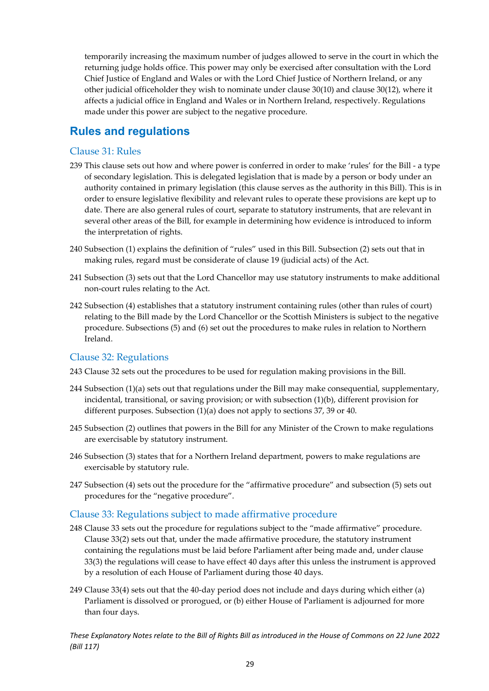temporarily increasing the maximum number of judges allowed to serve in the court in which the returning judge holds office. This power may only be exercised after consultation with the Lord Chief Justice of England and Wales or with the Lord Chief Justice of Northern Ireland, or any other judicial officeholder they wish to nominate under clause 30(10) and clause 30(12), where it affects a judicial office in England and Wales or in Northern Ireland, respectively. Regulations made under this power are subject to the negative procedure.

### <span id="page-29-0"></span>**Rules and regulations**

#### <span id="page-29-1"></span>Clause 31: Rules

- 239 This clause sets out how and where power is conferred in order to make 'rules' for the Bill a type of secondary legislation. This is delegated legislation that is made by a person or body under an authority contained in primary legislation (this clause serves as the authority in this Bill). This is in order to ensure legislative flexibility and relevant rules to operate these provisions are kept up to date. There are also general rules of court, separate to statutory instruments, that are relevant in several other areas of the Bill, for example in determining how evidence is introduced to inform the interpretation of rights.
- 240 Subsection (1) explains the definition of "rules" used in this Bill. Subsection (2) sets out that in making rules, regard must be considerate of clause 19 (judicial acts) of the Act.
- 241 Subsection (3) sets out that the Lord Chancellor may use statutory instruments to make additional non-court rules relating to the Act.
- 242 Subsection (4) establishes that a statutory instrument containing rules (other than rules of court) relating to the Bill made by the Lord Chancellor or the Scottish Ministers is subject to the negative procedure. Subsections (5) and (6) set out the procedures to make rules in relation to Northern Ireland.

#### <span id="page-29-2"></span>Clause 32: Regulations

243 Clause 32 sets out the procedures to be used for regulation making provisions in the Bill.

- 244 Subsection (1)(a) sets out that regulations under the Bill may make consequential, supplementary, incidental, transitional, or saving provision; or with subsection (1)(b), different provision for different purposes. Subsection (1)(a) does not apply to sections 37, 39 or 40.
- 245 Subsection (2) outlines that powers in the Bill for any Minister of the Crown to make regulations are exercisable by statutory instrument.
- 246 Subsection (3) states that for a Northern Ireland department, powers to make regulations are exercisable by statutory rule.
- 247 Subsection (4) sets out the procedure for the "affirmative procedure" and subsection (5) sets out procedures for the "negative procedure".

#### <span id="page-29-3"></span>Clause 33: Regulations subject to made affirmative procedure

- 248 Clause 33 sets out the procedure for regulations subject to the "made affirmative" procedure. Clause 33(2) sets out that, under the made affirmative procedure, the statutory instrument containing the regulations must be laid before Parliament after being made and, under clause 33(3) the regulations will cease to have effect 40 days after this unless the instrument is approved by a resolution of each House of Parliament during those 40 days.
- 249 Clause 33(4) sets out that the 40-day period does not include and days during which either (a) Parliament is dissolved or prorogued, or (b) either House of Parliament is adjourned for more than four days.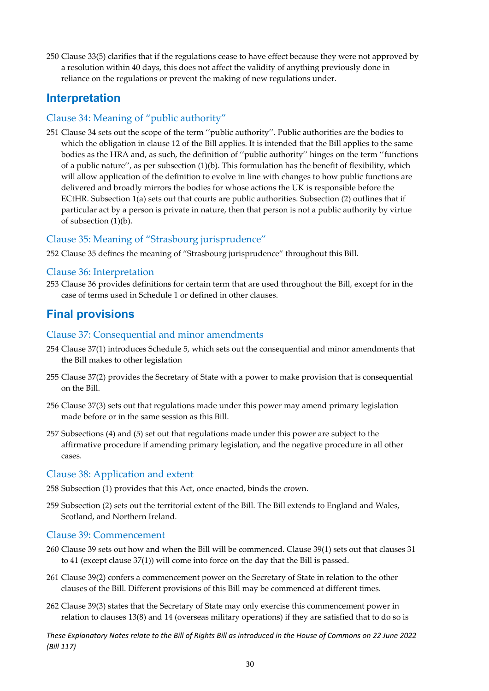250 Clause 33(5) clarifies that if the regulations cease to have effect because they were not approved by a resolution within 40 days, this does not affect the validity of anything previously done in reliance on the regulations or prevent the making of new regulations under.

### <span id="page-30-0"></span>**Interpretation**

#### <span id="page-30-1"></span>Clause 34: Meaning of "public authority"

251 Clause 34 sets out the scope of the term ''public authority''. Public authorities are the bodies to which the obligation in clause 12 of the Bill applies. It is intended that the Bill applies to the same bodies as the HRA and, as such, the definition of ''public authority'' hinges on the term ''functions of a public nature'', as per subsection (1)(b). This formulation has the benefit of flexibility, which will allow application of the definition to evolve in line with changes to how public functions are delivered and broadly mirrors the bodies for whose actions the UK is responsible before the ECtHR. Subsection 1(a) sets out that courts are public authorities. Subsection (2) outlines that if particular act by a person is private in nature, then that person is not a public authority by virtue of subsection (1)(b).

#### <span id="page-30-2"></span>Clause 35: Meaning of "Strasbourg jurisprudence"

252 Clause 35 defines the meaning of "Strasbourg jurisprudence" throughout this Bill.

#### Clause 36: Interpretation

253 Clause 36 provides definitions for certain term that are used throughout the Bill, except for in the case of terms used in Schedule 1 or defined in other clauses.

### <span id="page-30-3"></span>**Final provisions**

#### <span id="page-30-4"></span>Clause 37: Consequential and minor amendments

- 254 Clause 37(1) introduces Schedule 5, which sets out the consequential and minor amendments that the Bill makes to other legislation
- 255 Clause 37(2) provides the Secretary of State with a power to make provision that is consequential on the Bill.
- 256 Clause 37(3) sets out that regulations made under this power may amend primary legislation made before or in the same session as this Bill.
- 257 Subsections (4) and (5) set out that regulations made under this power are subject to the affirmative procedure if amending primary legislation, and the negative procedure in all other cases.

#### <span id="page-30-5"></span>Clause 38: Application and extent

- 258 Subsection (1) provides that this Act, once enacted, binds the crown.
- 259 Subsection (2) sets out the territorial extent of the Bill. The Bill extends to England and Wales, Scotland, and Northern Ireland.

#### <span id="page-30-6"></span>Clause 39: Commencement

- 260 Clause 39 sets out how and when the Bill will be commenced. Clause 39(1) sets out that clauses 31 to 41 (except clause 37(1)) will come into force on the day that the Bill is passed.
- 261 Clause 39(2) confers a commencement power on the Secretary of State in relation to the other clauses of the Bill. Different provisions of this Bill may be commenced at different times.
- 262 Clause 39(3) states that the Secretary of State may only exercise this commencement power in relation to clauses 13(8) and 14 (overseas military operations) if they are satisfied that to do so is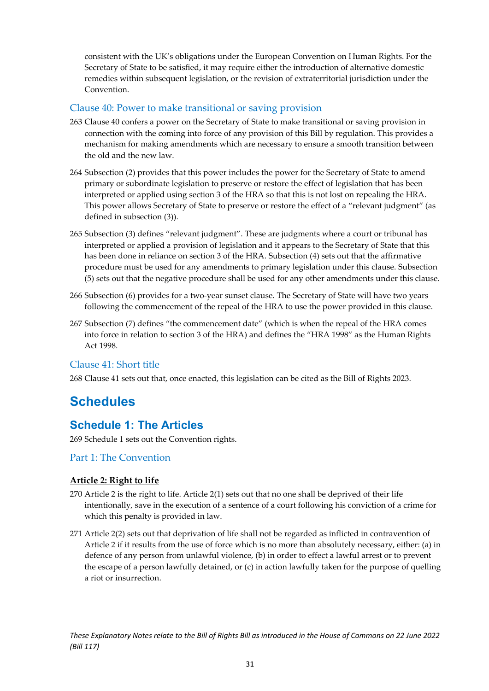consistent with the UK's obligations under the European Convention on Human Rights. For the Secretary of State to be satisfied, it may require either the introduction of alternative domestic remedies within subsequent legislation, or the revision of extraterritorial jurisdiction under the Convention.

#### <span id="page-31-0"></span>Clause 40: Power to make transitional or saving provision

- 263 Clause 40 confers a power on the Secretary of State to make transitional or saving provision in connection with the coming into force of any provision of this Bill by regulation. This provides a mechanism for making amendments which are necessary to ensure a smooth transition between the old and the new law.
- 264 Subsection (2) provides that this power includes the power for the Secretary of State to amend primary or subordinate legislation to preserve or restore the effect of legislation that has been interpreted or applied using section 3 of the HRA so that this is not lost on repealing the HRA. This power allows Secretary of State to preserve or restore the effect of a "relevant judgment" (as defined in subsection (3)).
- 265 Subsection (3) defines "relevant judgment". These are judgments where a court or tribunal has interpreted or applied a provision of legislation and it appears to the Secretary of State that this has been done in reliance on section 3 of the HRA. Subsection (4) sets out that the affirmative procedure must be used for any amendments to primary legislation under this clause. Subsection (5) sets out that the negative procedure shall be used for any other amendments under this clause.
- 266 Subsection (6) provides for a two-year sunset clause. The Secretary of State will have two years following the commencement of the repeal of the HRA to use the power provided in this clause.
- 267 Subsection (7) defines "the commencement date" (which is when the repeal of the HRA comes into force in relation to section 3 of the HRA) and defines the "HRA 1998" as the Human Rights Act 1998.

#### <span id="page-31-1"></span>Clause 41: Short title

268 Clause 41 sets out that, once enacted, this legislation can be cited as the Bill of Rights 2023.

## <span id="page-31-2"></span>**Schedules**

### <span id="page-31-3"></span>**Schedule 1: The Articles**

269 Schedule 1 sets out the Convention rights.

#### <span id="page-31-4"></span>Part 1: The Convention

#### <span id="page-31-5"></span>**Article 2: Right to life**

- 270 Article 2 is the right to life. Article 2(1) sets out that no one shall be deprived of their life intentionally, save in the execution of a sentence of a court following his conviction of a crime for which this penalty is provided in law.
- 271 Article 2(2) sets out that deprivation of life shall not be regarded as inflicted in contravention of Article 2 if it results from the use of force which is no more than absolutely necessary, either: (a) in defence of any person from unlawful violence, (b) in order to effect a lawful arrest or to prevent the escape of a person lawfully detained, or (c) in action lawfully taken for the purpose of quelling a riot or insurrection.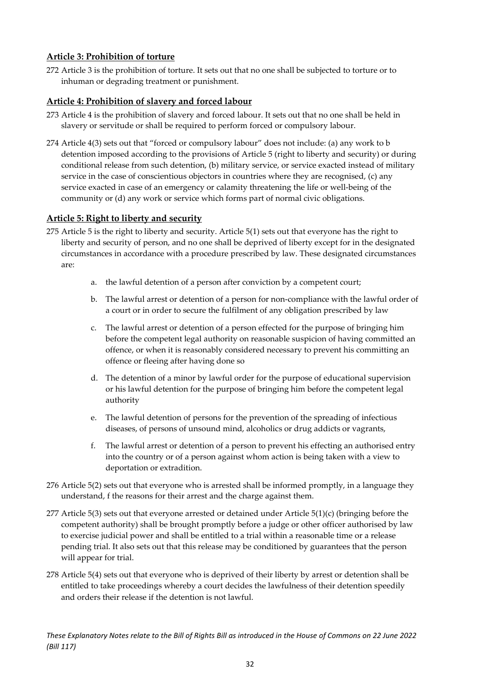#### <span id="page-32-0"></span>**Article 3: Prohibition of torture**

272 Article 3 is the prohibition of torture. It sets out that no one shall be subjected to torture or to inhuman or degrading treatment or punishment.

#### <span id="page-32-1"></span>**Article 4: Prohibition of slavery and forced labour**

- 273 Article 4 is the prohibition of slavery and forced labour. It sets out that no one shall be held in slavery or servitude or shall be required to perform forced or compulsory labour.
- 274 Article 4(3) sets out that "forced or compulsory labour" does not include: (a) any work to b detention imposed according to the provisions of Article 5 (right to liberty and security) or during conditional release from such detention, (b) military service, or service exacted instead of military service in the case of conscientious objectors in countries where they are recognised, (c) any service exacted in case of an emergency or calamity threatening the life or well-being of the community or (d) any work or service which forms part of normal civic obligations.

#### <span id="page-32-2"></span>**Article 5: Right to liberty and security**

- 275 Article 5 is the right to liberty and security. Article 5(1) sets out that everyone has the right to liberty and security of person, and no one shall be deprived of liberty except for in the designated circumstances in accordance with a procedure prescribed by law. These designated circumstances are:
	- a. the lawful detention of a person after conviction by a competent court;
	- b. The lawful arrest or detention of a person for non-compliance with the lawful order of a court or in order to secure the fulfilment of any obligation prescribed by law
	- c. The lawful arrest or detention of a person effected for the purpose of bringing him before the competent legal authority on reasonable suspicion of having committed an offence, or when it is reasonably considered necessary to prevent his committing an offence or fleeing after having done so
	- d. The detention of a minor by lawful order for the purpose of educational supervision or his lawful detention for the purpose of bringing him before the competent legal authority
	- e. The lawful detention of persons for the prevention of the spreading of infectious diseases, of persons of unsound mind, alcoholics or drug addicts or vagrants,
	- f. The lawful arrest or detention of a person to prevent his effecting an authorised entry into the country or of a person against whom action is being taken with a view to deportation or extradition.
- 276 Article 5(2) sets out that everyone who is arrested shall be informed promptly, in a language they understand, f the reasons for their arrest and the charge against them.
- 277 Article 5(3) sets out that everyone arrested or detained under Article 5(1)(c) (bringing before the competent authority) shall be brought promptly before a judge or other officer authorised by law to exercise judicial power and shall be entitled to a trial within a reasonable time or a release pending trial. It also sets out that this release may be conditioned by guarantees that the person will appear for trial.
- 278 Article 5(4) sets out that everyone who is deprived of their liberty by arrest or detention shall be entitled to take proceedings whereby a court decides the lawfulness of their detention speedily and orders their release if the detention is not lawful.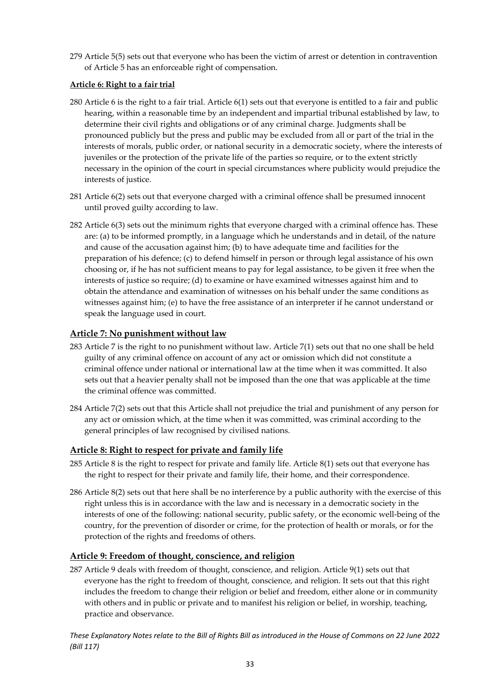279 Article 5(5) sets out that everyone who has been the victim of arrest or detention in contravention of Article 5 has an enforceable right of compensation.

#### **Article 6: Right to a fair trial**

- 280 Article 6 is the right to a fair trial. Article 6(1) sets out that everyone is entitled to a fair and public hearing, within a reasonable time by an independent and impartial tribunal established by law, to determine their civil rights and obligations or of any criminal charge. Judgments shall be pronounced publicly but the press and public may be excluded from all or part of the trial in the interests of morals, public order, or national security in a democratic society, where the interests of juveniles or the protection of the private life of the parties so require, or to the extent strictly necessary in the opinion of the court in special circumstances where publicity would prejudice the interests of justice.
- 281 Article 6(2) sets out that everyone charged with a criminal offence shall be presumed innocent until proved guilty according to law.
- 282 Article 6(3) sets out the minimum rights that everyone charged with a criminal offence has. These are: (a) to be informed promptly, in a language which he understands and in detail, of the nature and cause of the accusation against him; (b) to have adequate time and facilities for the preparation of his defence; (c) to defend himself in person or through legal assistance of his own choosing or, if he has not sufficient means to pay for legal assistance, to be given it free when the interests of justice so require; (d) to examine or have examined witnesses against him and to obtain the attendance and examination of witnesses on his behalf under the same conditions as witnesses against him; (e) to have the free assistance of an interpreter if he cannot understand or speak the language used in court.

#### <span id="page-33-0"></span>**Article 7: No punishment without law**

- 283 Article 7 is the right to no punishment without law. Article 7(1) sets out that no one shall be held guilty of any criminal offence on account of any act or omission which did not constitute a criminal offence under national or international law at the time when it was committed. It also sets out that a heavier penalty shall not be imposed than the one that was applicable at the time the criminal offence was committed.
- 284 Article 7(2) sets out that this Article shall not prejudice the trial and punishment of any person for any act or omission which, at the time when it was committed, was criminal according to the general principles of law recognised by civilised nations.

#### <span id="page-33-1"></span>**Article 8: Right to respect for private and family life**

- 285 Article 8 is the right to respect for private and family life. Article 8(1) sets out that everyone has the right to respect for their private and family life, their home, and their correspondence.
- 286 Article 8(2) sets out that here shall be no interference by a public authority with the exercise of this right unless this is in accordance with the law and is necessary in a democratic society in the interests of one of the following: national security, public safety, or the economic well-being of the country, for the prevention of disorder or crime, for the protection of health or morals, or for the protection of the rights and freedoms of others.

#### <span id="page-33-2"></span>**Article 9: Freedom of thought, conscience, and religion**

287 Article 9 deals with freedom of thought, conscience, and religion. Article 9(1) sets out that everyone has the right to freedom of thought, conscience, and religion. It sets out that this right includes the freedom to change their religion or belief and freedom, either alone or in community with others and in public or private and to manifest his religion or belief, in worship, teaching, practice and observance.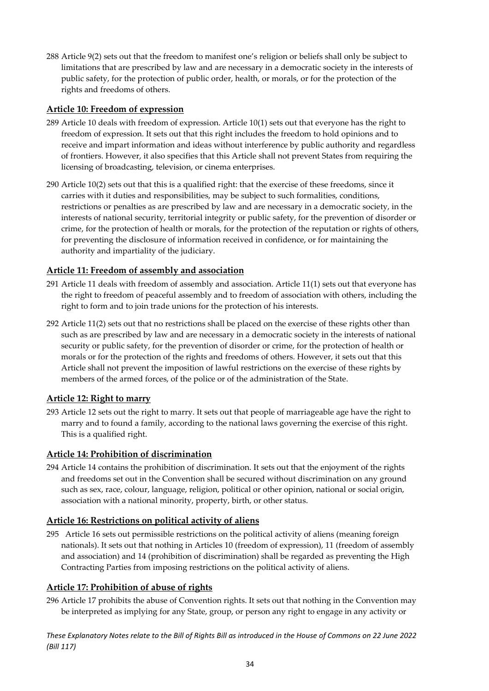288 Article 9(2) sets out that the freedom to manifest one's religion or beliefs shall only be subject to limitations that are prescribed by law and are necessary in a democratic society in the interests of public safety, for the protection of public order, health, or morals, or for the protection of the rights and freedoms of others.

#### <span id="page-34-0"></span>**Article 10: Freedom of expression**

- 289 Article 10 deals with freedom of expression. Article 10(1) sets out that everyone has the right to freedom of expression. It sets out that this right includes the freedom to hold opinions and to receive and impart information and ideas without interference by public authority and regardless of frontiers. However, it also specifies that this Article shall not prevent States from requiring the licensing of broadcasting, television, or cinema enterprises.
- 290 Article 10(2) sets out that this is a qualified right: that the exercise of these freedoms, since it carries with it duties and responsibilities, may be subject to such formalities, conditions, restrictions or penalties as are prescribed by law and are necessary in a democratic society, in the interests of national security, territorial integrity or public safety, for the prevention of disorder or crime, for the protection of health or morals, for the protection of the reputation or rights of others, for preventing the disclosure of information received in confidence, or for maintaining the authority and impartiality of the judiciary.

#### <span id="page-34-1"></span>**Article 11: Freedom of assembly and association**

- 291 Article 11 deals with freedom of assembly and association. Article 11(1) sets out that everyone has the right to freedom of peaceful assembly and to freedom of association with others, including the right to form and to join trade unions for the protection of his interests.
- 292 Article 11(2) sets out that no restrictions shall be placed on the exercise of these rights other than such as are prescribed by law and are necessary in a democratic society in the interests of national security or public safety, for the prevention of disorder or crime, for the protection of health or morals or for the protection of the rights and freedoms of others. However, it sets out that this Article shall not prevent the imposition of lawful restrictions on the exercise of these rights by members of the armed forces, of the police or of the administration of the State.

#### <span id="page-34-2"></span>**Article 12: Right to marry**

293 Article 12 sets out the right to marry. It sets out that people of marriageable age have the right to marry and to found a family, according to the national laws governing the exercise of this right. This is a qualified right.

#### <span id="page-34-3"></span>**Article 14: Prohibition of discrimination**

294 Article 14 contains the prohibition of discrimination. It sets out that the enjoyment of the rights and freedoms set out in the Convention shall be secured without discrimination on any ground such as sex, race, colour, language, religion, political or other opinion, national or social origin, association with a national minority, property, birth, or other status.

#### <span id="page-34-4"></span>**Article 16: Restrictions on political activity of aliens**

295 Article 16 sets out permissible restrictions on the political activity of aliens (meaning foreign nationals). It sets out that nothing in Articles 10 (freedom of expression), 11 (freedom of assembly and association) and 14 (prohibition of discrimination) shall be regarded as preventing the High Contracting Parties from imposing restrictions on the political activity of aliens.

#### <span id="page-34-5"></span>**Article 17: Prohibition of abuse of rights**

296 Article 17 prohibits the abuse of Convention rights. It sets out that nothing in the Convention may be interpreted as implying for any State, group, or person any right to engage in any activity or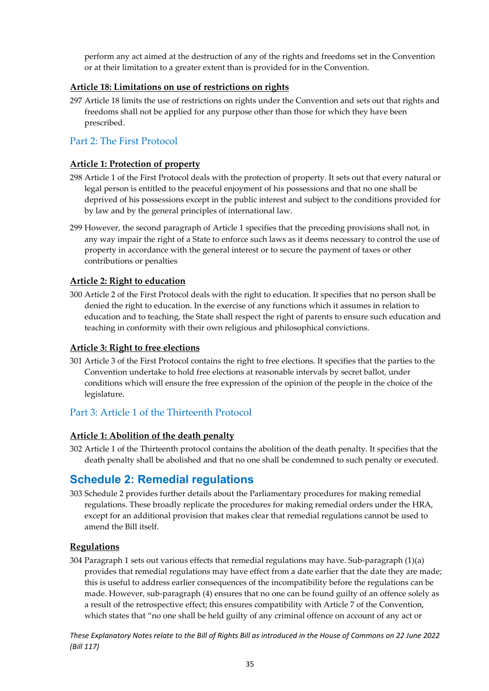perform any act aimed at the destruction of any of the rights and freedoms set in the Convention or at their limitation to a greater extent than is provided for in the Convention.

#### <span id="page-35-0"></span>**Article 18: Limitations on use of restrictions on rights**

297 Article 18 limits the use of restrictions on rights under the Convention and sets out that rights and freedoms shall not be applied for any purpose other than those for which they have been prescribed.

#### <span id="page-35-1"></span>Part 2: The First Protocol

#### <span id="page-35-2"></span>**Article 1: Protection of property**

- 298 Article 1 of the First Protocol deals with the protection of property. It sets out that every natural or legal person is entitled to the peaceful enjoyment of his possessions and that no one shall be deprived of his possessions except in the public interest and subject to the conditions provided for by law and by the general principles of international law.
- 299 However, the second paragraph of Article 1 specifies that the preceding provisions shall not, in any way impair the right of a State to enforce such laws as it deems necessary to control the use of property in accordance with the general interest or to secure the payment of taxes or other contributions or penalties

#### <span id="page-35-3"></span>**Article 2: Right to education**

300 Article 2 of the First Protocol deals with the right to education. It specifies that no person shall be denied the right to education. In the exercise of any functions which it assumes in relation to education and to teaching, the State shall respect the right of parents to ensure such education and teaching in conformity with their own religious and philosophical convictions.

#### <span id="page-35-4"></span>**Article 3: Right to free elections**

301 Article 3 of the First Protocol contains the right to free elections. It specifies that the parties to the Convention undertake to hold free elections at reasonable intervals by secret ballot, under conditions which will ensure the free expression of the opinion of the people in the choice of the legislature.

#### <span id="page-35-5"></span>Part 3: Article 1 of the Thirteenth Protocol

#### <span id="page-35-6"></span>**Article 1: Abolition of the death penalty**

302 Article 1 of the Thirteenth protocol contains the abolition of the death penalty. It specifies that the death penalty shall be abolished and that no one shall be condemned to such penalty or executed.

### <span id="page-35-7"></span>**Schedule 2: Remedial regulations**

303 Schedule 2 provides further details about the Parliamentary procedures for making remedial regulations. These broadly replicate the procedures for making remedial orders under the HRA, except for an additional provision that makes clear that remedial regulations cannot be used to amend the Bill itself.

#### <span id="page-35-8"></span>**Regulations**

304 Paragraph 1 sets out various effects that remedial regulations may have. Sub-paragraph (1)(a) provides that remedial regulations may have effect from a date earlier that the date they are made; this is useful to address earlier consequences of the incompatibility before the regulations can be made. However, sub-paragraph (4) ensures that no one can be found guilty of an offence solely as a result of the retrospective effect; this ensures compatibility with Article 7 of the Convention, which states that "no one shall be held guilty of any criminal offence on account of any act or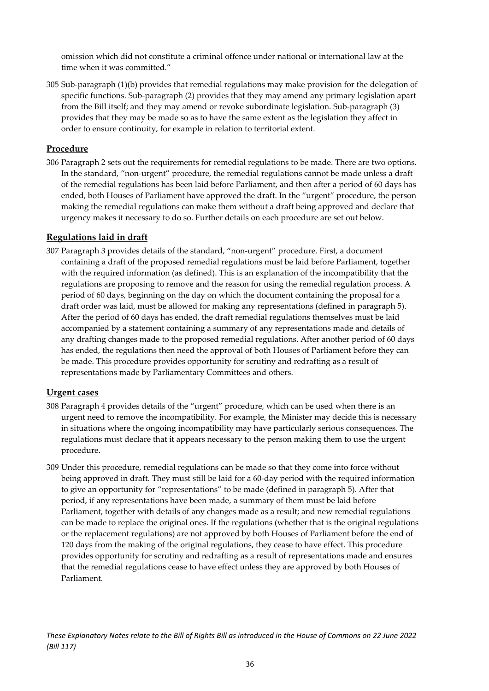omission which did not constitute a criminal offence under national or international law at the time when it was committed."

305 Sub-paragraph (1)(b) provides that remedial regulations may make provision for the delegation of specific functions. Sub-paragraph (2) provides that they may amend any primary legislation apart from the Bill itself; and they may amend or revoke subordinate legislation. Sub-paragraph (3) provides that they may be made so as to have the same extent as the legislation they affect in order to ensure continuity, for example in relation to territorial extent.

#### <span id="page-36-0"></span>**Procedure**

306 Paragraph 2 sets out the requirements for remedial regulations to be made. There are two options. In the standard, "non-urgent" procedure, the remedial regulations cannot be made unless a draft of the remedial regulations has been laid before Parliament, and then after a period of 60 days has ended, both Houses of Parliament have approved the draft. In the "urgent" procedure, the person making the remedial regulations can make them without a draft being approved and declare that urgency makes it necessary to do so. Further details on each procedure are set out below.

#### <span id="page-36-1"></span>**Regulations laid in draft**

307 Paragraph 3 provides details of the standard, "non-urgent" procedure. First, a document containing a draft of the proposed remedial regulations must be laid before Parliament, together with the required information (as defined). This is an explanation of the incompatibility that the regulations are proposing to remove and the reason for using the remedial regulation process. A period of 60 days, beginning on the day on which the document containing the proposal for a draft order was laid, must be allowed for making any representations (defined in paragraph 5). After the period of 60 days has ended, the draft remedial regulations themselves must be laid accompanied by a statement containing a summary of any representations made and details of any drafting changes made to the proposed remedial regulations. After another period of 60 days has ended, the regulations then need the approval of both Houses of Parliament before they can be made. This procedure provides opportunity for scrutiny and redrafting as a result of representations made by Parliamentary Committees and others.

#### <span id="page-36-2"></span>**Urgent cases**

- 308 Paragraph 4 provides details of the "urgent" procedure, which can be used when there is an urgent need to remove the incompatibility. For example, the Minister may decide this is necessary in situations where the ongoing incompatibility may have particularly serious consequences. The regulations must declare that it appears necessary to the person making them to use the urgent procedure.
- 309 Under this procedure, remedial regulations can be made so that they come into force without being approved in draft. They must still be laid for a 60-day period with the required information to give an opportunity for "representations" to be made (defined in paragraph 5). After that period, if any representations have been made, a summary of them must be laid before Parliament, together with details of any changes made as a result; and new remedial regulations can be made to replace the original ones. If the regulations (whether that is the original regulations or the replacement regulations) are not approved by both Houses of Parliament before the end of 120 days from the making of the original regulations, they cease to have effect. This procedure provides opportunity for scrutiny and redrafting as a result of representations made and ensures that the remedial regulations cease to have effect unless they are approved by both Houses of Parliament.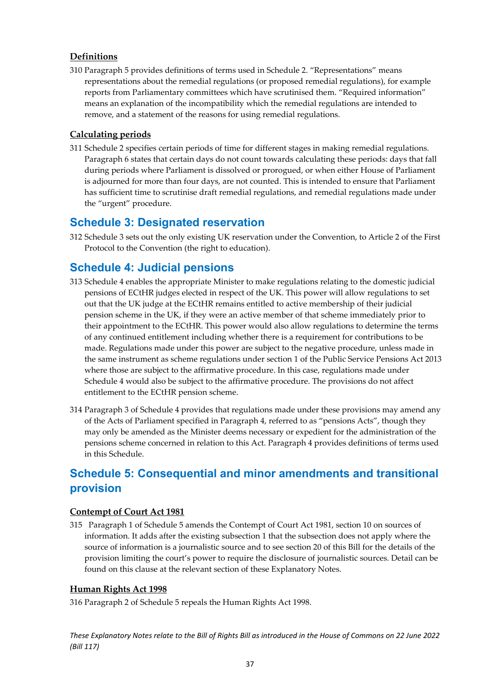#### <span id="page-37-0"></span>**Definitions**

310 Paragraph 5 provides definitions of terms used in Schedule 2. "Representations" means representations about the remedial regulations (or proposed remedial regulations), for example reports from Parliamentary committees which have scrutinised them. "Required information" means an explanation of the incompatibility which the remedial regulations are intended to remove, and a statement of the reasons for using remedial regulations.

#### <span id="page-37-1"></span>**Calculating periods**

311 Schedule 2 specifies certain periods of time for different stages in making remedial regulations. Paragraph 6 states that certain days do not count towards calculating these periods: days that fall during periods where Parliament is dissolved or prorogued, or when either House of Parliament is adjourned for more than four days, are not counted. This is intended to ensure that Parliament has sufficient time to scrutinise draft remedial regulations, and remedial regulations made under the "urgent" procedure.

### <span id="page-37-2"></span>**Schedule 3: Designated reservation**

312 Schedule 3 sets out the only existing UK reservation under the Convention, to Article 2 of the First Protocol to the Convention (the right to education).

### <span id="page-37-3"></span>**Schedule 4: Judicial pensions**

- 313 Schedule 4 enables the appropriate Minister to make regulations relating to the domestic judicial pensions of ECtHR judges elected in respect of the UK. This power will allow regulations to set out that the UK judge at the ECtHR remains entitled to active membership of their judicial pension scheme in the UK, if they were an active member of that scheme immediately prior to their appointment to the ECtHR. This power would also allow regulations to determine the terms of any continued entitlement including whether there is a requirement for contributions to be made. Regulations made under this power are subject to the negative procedure, unless made in the same instrument as scheme regulations under section 1 of the Public Service Pensions Act 2013 where those are subject to the affirmative procedure. In this case, regulations made under Schedule 4 would also be subject to the affirmative procedure. The provisions do not affect entitlement to the ECtHR pension scheme.
- 314 Paragraph 3 of Schedule 4 provides that regulations made under these provisions may amend any of the Acts of Parliament specified in Paragraph 4, referred to as "pensions Acts", though they may only be amended as the Minister deems necessary or expedient for the administration of the pensions scheme concerned in relation to this Act. Paragraph 4 provides definitions of terms used in this Schedule.

## <span id="page-37-4"></span>**Schedule 5: Consequential and minor amendments and transitional provision**

#### <span id="page-37-5"></span>**Contempt of Court Act 1981**

315 Paragraph 1 of Schedule 5 amends the Contempt of Court Act 1981, section 10 on sources of information. It adds after the existing subsection 1 that the subsection does not apply where the source of information is a journalistic source and to see section 20 of this Bill for the details of the provision limiting the court's power to require the disclosure of journalistic sources. Detail can be found on this clause at the relevant section of these Explanatory Notes.

#### <span id="page-37-6"></span>**Human Rights Act 1998**

316 Paragraph 2 of Schedule 5 repeals the Human Rights Act 1998.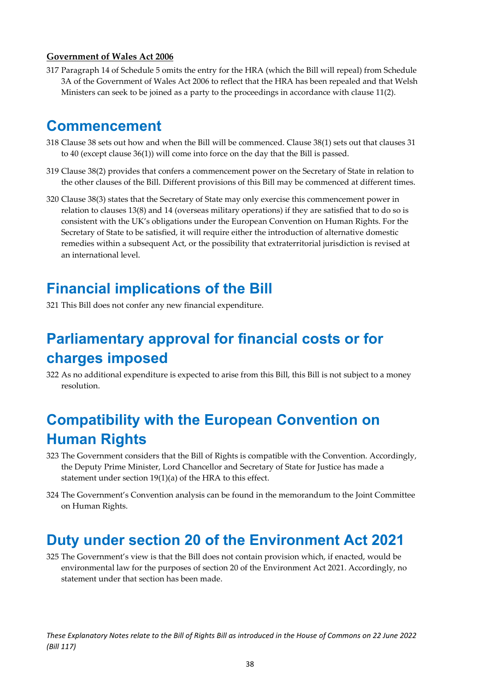#### <span id="page-38-0"></span>**Government of Wales Act 2006**

317 Paragraph 14 of Schedule 5 omits the entry for the HRA (which the Bill will repeal) from Schedule 3A of the Government of Wales Act 2006 to reflect that the HRA has been repealed and that Welsh Ministers can seek to be joined as a party to the proceedings in accordance with clause 11(2).

## <span id="page-38-1"></span>**Commencement**

- 318 Clause 38 sets out how and when the Bill will be commenced. Clause 38(1) sets out that clauses 31 to 40 (except clause 36(1)) will come into force on the day that the Bill is passed.
- 319 Clause 38(2) provides that confers a commencement power on the Secretary of State in relation to the other clauses of the Bill. Different provisions of this Bill may be commenced at different times.
- 320 Clause 38(3) states that the Secretary of State may only exercise this commencement power in relation to clauses 13(8) and 14 (overseas military operations) if they are satisfied that to do so is consistent with the UK's obligations under the European Convention on Human Rights. For the Secretary of State to be satisfied, it will require either the introduction of alternative domestic remedies within a subsequent Act, or the possibility that extraterritorial jurisdiction is revised at an international level.

## <span id="page-38-2"></span>**Financial implications of the Bill**

321 This Bill does not confer any new financial expenditure.

## <span id="page-38-3"></span>**Parliamentary approval for financial costs or for charges imposed**

322 As no additional expenditure is expected to arise from this Bill, this Bill is not subject to a money resolution.

## <span id="page-38-4"></span>**Compatibility with the European Convention on Human Rights**

- 323 The Government considers that the Bill of Rights is compatible with the Convention. Accordingly, the Deputy Prime Minister, Lord Chancellor and Secretary of State for Justice has made a statement under section 19(1)(a) of the HRA to this effect.
- 324 The Government's Convention analysis can be found in the memorandum to the Joint Committee on Human Rights.

## <span id="page-38-5"></span>**Duty under section 20 of the Environment Act 2021**

325 The Government's view is that the Bill does not contain provision which, if enacted, would be environmental law for the purposes of section 20 of the Environment Act 2021. Accordingly, no statement under that section has been made.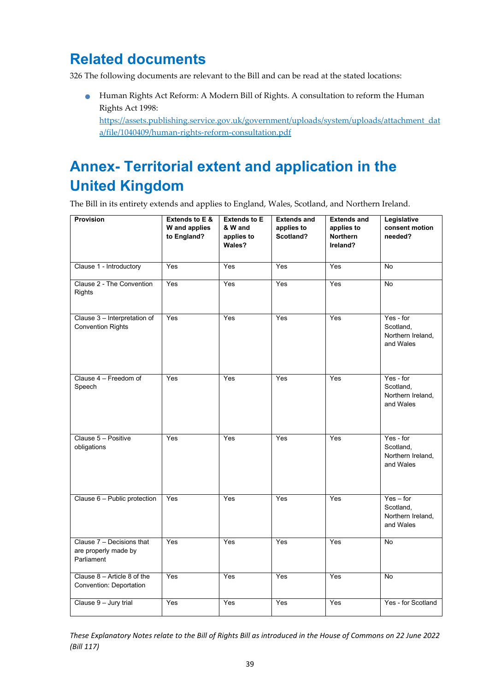## <span id="page-39-0"></span>**Related documents**

326 The following documents are relevant to the Bill and can be read at the stated locations:

• Human Rights Act Reform: A Modern Bill of Rights. A consultation to reform the Human Rights Act 1998:

[https://assets.publishing.service.gov.uk/government/uploads/system/uploads/attachment\\_dat](https://assets.publishing.service.gov.uk/government/uploads/system/uploads/attachment_data/file/1040409/human-rights-reform-consultation.pdf) [a/file/1040409/human-rights-reform-consultation.pdf](https://assets.publishing.service.gov.uk/government/uploads/system/uploads/attachment_data/file/1040409/human-rights-reform-consultation.pdf)

## <span id="page-39-1"></span>**Annex- Territorial extent and application in the United Kingdom**

The Bill in its entirety extends and applies to England, Wales, Scotland, and Northern Ireland.

| Provision                                                       | <b>Extends to E &amp;</b><br>W and applies<br>to England? | <b>Extends to E</b><br>& W and<br>applies to<br>Wales? | <b>Extends and</b><br>applies to<br>Scotland? | <b>Extends and</b><br>applies to<br>Northern<br>Ireland? | Legislative<br>consent motion<br>needed?                   |
|-----------------------------------------------------------------|-----------------------------------------------------------|--------------------------------------------------------|-----------------------------------------------|----------------------------------------------------------|------------------------------------------------------------|
| Clause 1 - Introductory                                         | Yes                                                       | Yes                                                    | Yes                                           | Yes                                                      | No                                                         |
| Clause 2 - The Convention<br><b>Rights</b>                      | Yes                                                       | Yes                                                    | Yes                                           | Yes                                                      | <b>No</b>                                                  |
| Clause 3 - Interpretation of<br><b>Convention Rights</b>        | Yes                                                       | Yes                                                    | Yes                                           | Yes                                                      | Yes - for<br>Scotland,<br>Northern Ireland,<br>and Wales   |
| Clause 4 - Freedom of<br>Speech                                 | Yes                                                       | Yes                                                    | Yes                                           | Yes                                                      | Yes - for<br>Scotland,<br>Northern Ireland,<br>and Wales   |
| Clause 5 - Positive<br>obligations                              | Yes                                                       | Yes                                                    | Yes                                           | Yes                                                      | Yes - for<br>Scotland,<br>Northern Ireland,<br>and Wales   |
| Clause 6 - Public protection                                    | Yes                                                       | Yes                                                    | Yes                                           | Yes                                                      | $Yes - for$<br>Scotland,<br>Northern Ireland,<br>and Wales |
| Clause 7 - Decisions that<br>are properly made by<br>Parliament | Yes                                                       | Yes                                                    | Yes                                           | Yes                                                      | <b>No</b>                                                  |
| Clause $8 -$ Article $8$ of the<br>Convention: Deportation      | Yes                                                       | Yes                                                    | Yes                                           | Yes                                                      | <b>No</b>                                                  |
| Clause 9 - Jury trial                                           | Yes                                                       | Yes                                                    | Yes                                           | Yes                                                      | Yes - for Scotland                                         |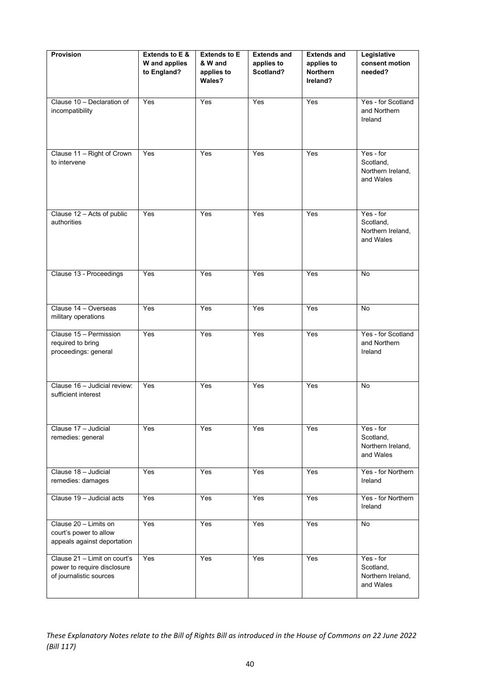| <b>Provision</b>                                                                       | Extends to E &<br>W and applies<br>to England? | <b>Extends to E</b><br>& W and<br>applies to<br>Wales? | <b>Extends and</b><br>applies to<br>Scotland? | <b>Extends and</b><br>applies to<br>Northern<br>Ireland? | Legislative<br>consent motion<br>needed?                 |
|----------------------------------------------------------------------------------------|------------------------------------------------|--------------------------------------------------------|-----------------------------------------------|----------------------------------------------------------|----------------------------------------------------------|
| Clause 10 - Declaration of<br>incompatibility                                          | Yes                                            | Yes                                                    | Yes                                           | Yes                                                      | Yes - for Scotland<br>and Northern<br>Ireland            |
| Clause 11 - Right of Crown<br>to intervene                                             | Yes                                            | Yes                                                    | Yes                                           | Yes                                                      | Yes - for<br>Scotland,<br>Northern Ireland,<br>and Wales |
| Clause 12 - Acts of public<br>authorities                                              | Yes                                            | Yes                                                    | Yes                                           | Yes                                                      | Yes - for<br>Scotland,<br>Northern Ireland,<br>and Wales |
| Clause 13 - Proceedings                                                                | Yes                                            | Yes                                                    | Yes                                           | Yes                                                      | <b>No</b>                                                |
| Clause 14 - Overseas<br>military operations                                            | Yes                                            | Yes                                                    | Yes                                           | Yes                                                      | $\overline{N}$                                           |
| Clause 15 - Permission<br>required to bring<br>proceedings: general                    | Yes                                            | Yes                                                    | Yes                                           | Yes                                                      | Yes - for Scotland<br>and Northern<br>Ireland            |
| Clause 16 - Judicial review:<br>sufficient interest                                    | Yes                                            | Yes                                                    | Yes                                           | Yes                                                      | No                                                       |
| Clause 17 - Judicial<br>remedies: general                                              | Yes                                            | Yes                                                    | Yes                                           | Yes                                                      | Yes - for<br>Scotland,<br>Northern Ireland,<br>and Wales |
| Clause 18 - Judicial<br>remedies: damages                                              | Yes                                            | Yes                                                    | Yes                                           | Yes                                                      | Yes - for Northern<br>Ireland                            |
| Clause 19 - Judicial acts                                                              | Yes                                            | Yes                                                    | Yes                                           | Yes                                                      | Yes - for Northern<br>Ireland                            |
| Clause 20 - Limits on<br>court's power to allow<br>appeals against deportation         | Yes                                            | Yes                                                    | Yes                                           | Yes                                                      | $\overline{N}$                                           |
| Clause 21 - Limit on court's<br>power to require disclosure<br>of journalistic sources | Yes                                            | Yes                                                    | Yes                                           | Yes                                                      | Yes - for<br>Scotland,<br>Northern Ireland,<br>and Wales |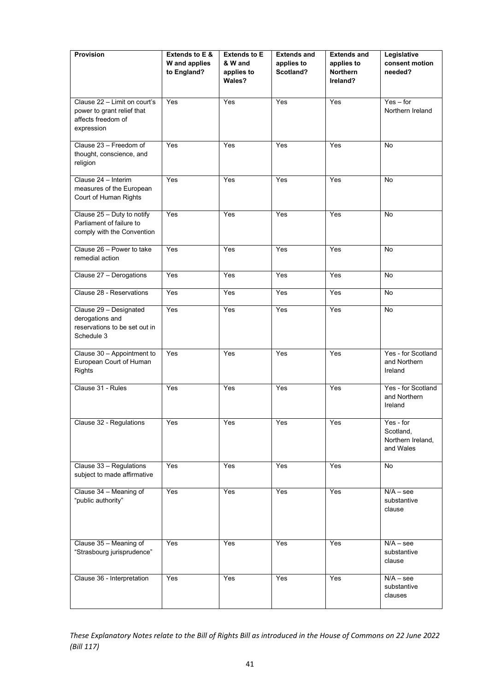| <b>Provision</b>                                                                               | Extends to E &<br>W and applies<br>to England? | <b>Extends to E</b><br>& W and<br>applies to<br>Wales? | <b>Extends and</b><br>applies to<br>Scotland? | <b>Extends and</b><br>applies to<br>Northern<br>Ireland? | Legislative<br>consent motion<br>needed?                 |
|------------------------------------------------------------------------------------------------|------------------------------------------------|--------------------------------------------------------|-----------------------------------------------|----------------------------------------------------------|----------------------------------------------------------|
| Clause 22 - Limit on court's<br>power to grant relief that<br>affects freedom of<br>expression | Yes                                            | Yes                                                    | Yes                                           | Yes                                                      | $Yes - for$<br>Northern Ireland                          |
| Clause 23 - Freedom of<br>thought, conscience, and<br>religion                                 | Yes                                            | Yes                                                    | Yes                                           | Yes                                                      | No                                                       |
| Clause 24 - Interim<br>measures of the European<br>Court of Human Rights                       | Yes                                            | Yes                                                    | Yes                                           | Yes                                                      | No                                                       |
| Clause 25 - Duty to notify<br>Parliament of failure to<br>comply with the Convention           | Yes                                            | Yes                                                    | Yes                                           | Yes                                                      | <b>No</b>                                                |
| Clause 26 - Power to take<br>remedial action                                                   | Yes                                            | Yes                                                    | Yes                                           | Yes                                                      | <b>No</b>                                                |
| Clause 27 - Derogations                                                                        | Yes                                            | Yes                                                    | Yes                                           | Yes                                                      | No                                                       |
| Clause 28 - Reservations                                                                       | Yes                                            | Yes                                                    | Yes                                           | Yes                                                      | <b>No</b>                                                |
| Clause 29 - Designated<br>derogations and<br>reservations to be set out in<br>Schedule 3       | Yes                                            | Yes                                                    | Yes                                           | Yes                                                      | No                                                       |
| Clause 30 - Appointment to<br>European Court of Human<br>Rights                                | Yes                                            | Yes                                                    | Yes                                           | Yes                                                      | Yes - for Scotland<br>and Northern<br>Ireland            |
| Clause 31 - Rules                                                                              | Yes                                            | Yes                                                    | Yes                                           | Yes                                                      | Yes - for Scotland<br>and Northern<br>Ireland            |
| Clause 32 - Regulations                                                                        | Yes                                            | Yes                                                    | Yes                                           | Yes                                                      | Yes - for<br>Scotland,<br>Northern Ireland,<br>and Wales |
| Clause 33 - Regulations<br>subject to made affirmative                                         | Yes                                            | Yes                                                    | Yes                                           | Yes                                                      | No                                                       |
| Clause 34 - Meaning of<br>"public authority"                                                   | Yes                                            | Yes                                                    | Yes                                           | Yes                                                      | $N/A -$ see<br>substantive<br>clause                     |
| Clause 35 - Meaning of<br>"Strasbourg jurisprudence"                                           | Yes                                            | Yes                                                    | Yes                                           | Yes                                                      | $N/A -$ see<br>substantive<br>clause                     |
| Clause 36 - Interpretation                                                                     | Yes                                            | Yes                                                    | Yes                                           | Yes                                                      | $N/A -$ see<br>substantive<br>clauses                    |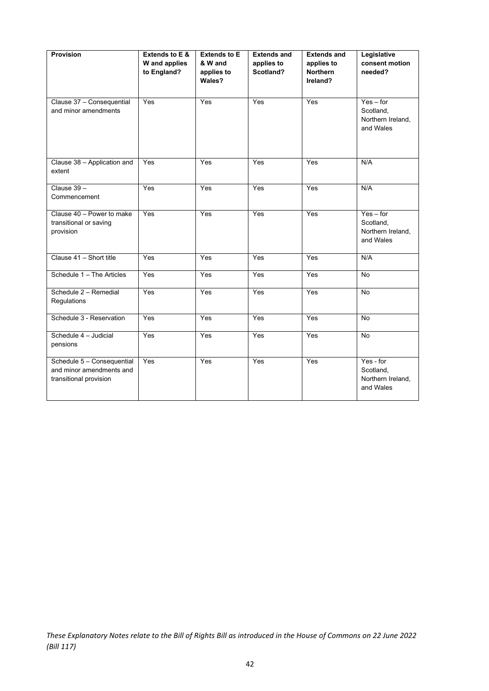| <b>Provision</b>                                                                 | Extends to E &<br>W and applies<br>to England? | <b>Extends to E</b><br>& W and<br>applies to<br>Wales? | <b>Extends and</b><br>applies to<br>Scotland? | <b>Extends and</b><br>applies to<br><b>Northern</b><br>Ireland? | Legislative<br>consent motion<br>needed?                   |
|----------------------------------------------------------------------------------|------------------------------------------------|--------------------------------------------------------|-----------------------------------------------|-----------------------------------------------------------------|------------------------------------------------------------|
| Clause 37 - Consequential<br>and minor amendments                                | Yes                                            | Yes                                                    | Yes                                           | Yes                                                             | $Yes - for$<br>Scotland,<br>Northern Ireland,<br>and Wales |
| Clause 38 - Application and<br>extent                                            | Yes                                            | Yes                                                    | Yes                                           | Yes                                                             | N/A                                                        |
| Clause 39-<br>Commencement                                                       | Yes                                            | Yes                                                    | Yes                                           | Yes                                                             | N/A                                                        |
| Clause 40 - Power to make<br>transitional or saving<br>provision                 | Yes                                            | Yes                                                    | Yes                                           | Yes                                                             | $Yes - for$<br>Scotland,<br>Northern Ireland,<br>and Wales |
| Clause 41 - Short title                                                          | Yes                                            | Yes                                                    | Yes                                           | Yes                                                             | N/A                                                        |
| Schedule 1 - The Articles                                                        | Yes                                            | Yes                                                    | Yes                                           | Yes                                                             | <b>No</b>                                                  |
| Schedule 2 - Remedial<br>Regulations                                             | Yes                                            | Yes                                                    | Yes                                           | Yes                                                             | <b>No</b>                                                  |
| Schedule 3 - Reservation                                                         | Yes                                            | Yes                                                    | Yes                                           | Yes                                                             | <b>No</b>                                                  |
| Schedule 4 - Judicial<br>pensions                                                | Yes                                            | Yes                                                    | Yes                                           | Yes                                                             | No                                                         |
| Schedule 5 - Consequential<br>and minor amendments and<br>transitional provision | Yes                                            | Yes                                                    | Yes                                           | Yes                                                             | Yes - for<br>Scotland,<br>Northern Ireland,<br>and Wales   |